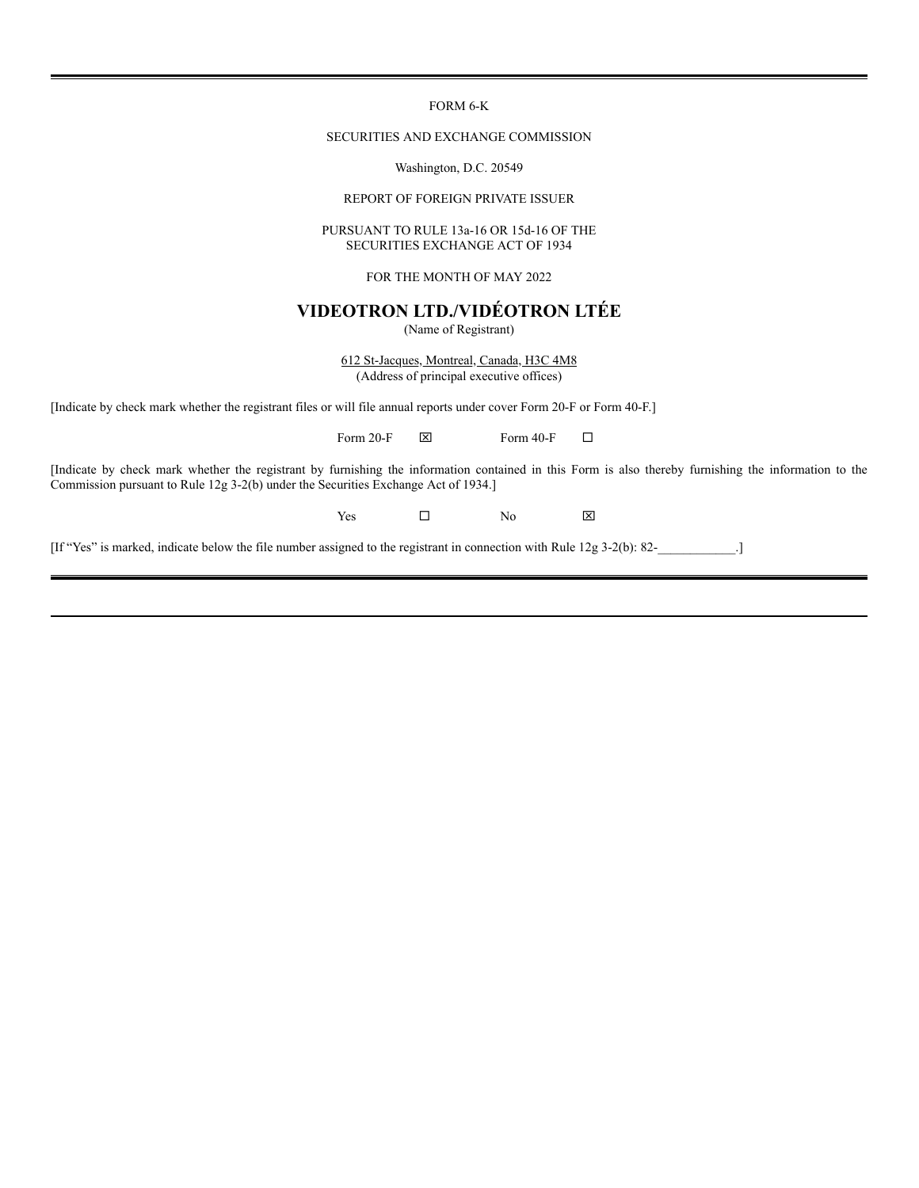FORM 6-K

## SECURITIES AND EXCHANGE COMMISSION

Washington, D.C. 20549

REPORT OF FOREIGN PRIVATE ISSUER

## PURSUANT TO RULE 13a-16 OR 15d-16 OF THE SECURITIES EXCHANGE ACT OF 1934

FOR THE MONTH OF MAY 2022

# **VIDEOTRON LTD./VIDÉOTRON LTÉE**

(Name of Registrant)

612 St-Jacques, Montreal, Canada, H3C 4M8 (Address of principal executive offices)

[Indicate by check mark whether the registrant files or will file annual reports under cover Form 20-F or Form 40-F.]

Form 20-F  $\boxtimes$  Form 40-F  $\Box$ 

[Indicate by check mark whether the registrant by furnishing the information contained in this Form is also thereby furnishing the information to the Commission pursuant to Rule 12g 3-2(b) under the Securities Exchange Act of 1934.]

 $Yes \Box$  No  $X$ 

[If "Yes" is marked, indicate below the file number assigned to the registrant in connection with Rule 12g 3-2(b): 82-\_\_\_\_\_\_\_\_\_\_\_\_.]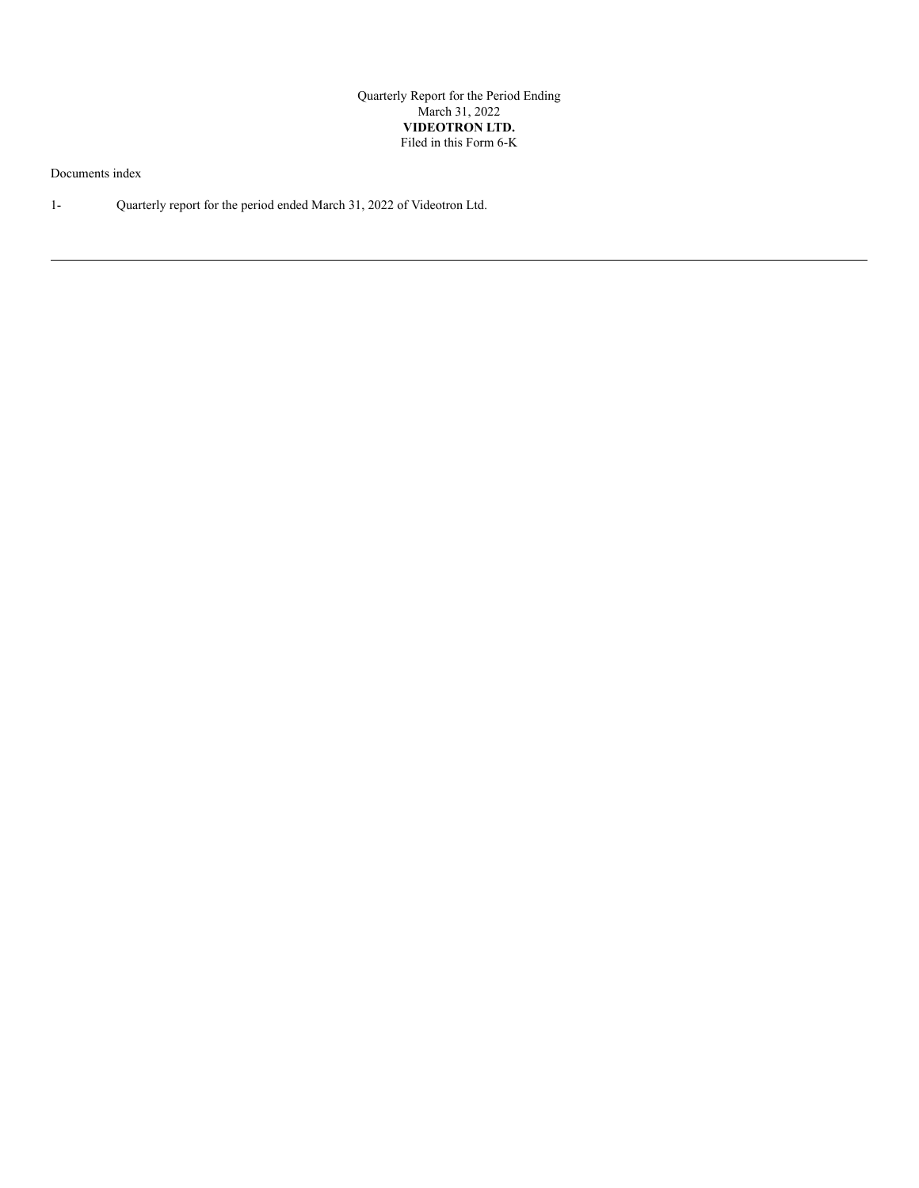Quarterly Report for the Period Ending March 31, 2022 **VIDEOTRON LTD.** Filed in this Form 6-K

Documents index

1- Quarterly report for the period ended March 31, 2022 of Videotron Ltd.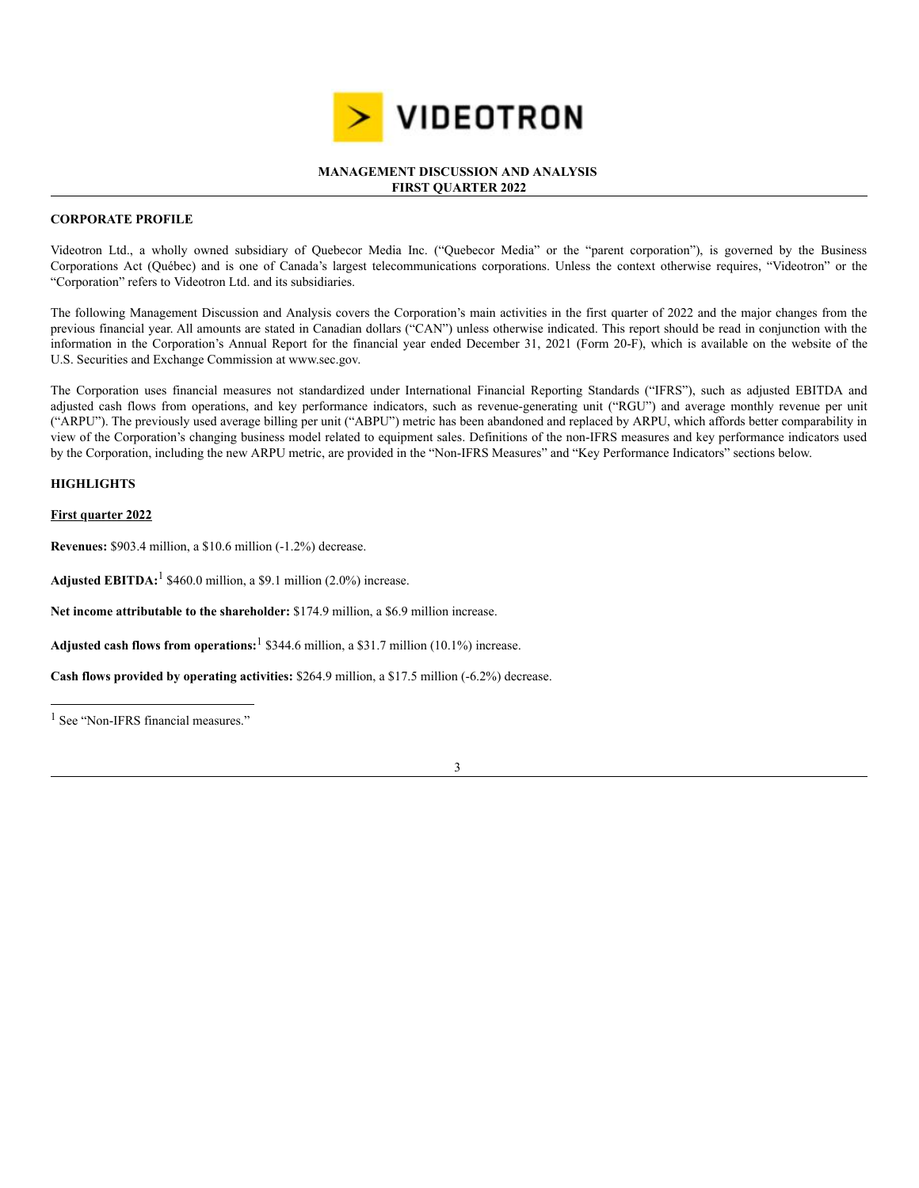

## **MANAGEMENT DISCUSSION AND ANALYSIS FIRST QUARTER 2022**

# **CORPORATE PROFILE**

Videotron Ltd., a wholly owned subsidiary of Quebecor Media Inc. ("Quebecor Media" or the "parent corporation"), is governed by the Business Corporations Act (Québec) and is one of Canada's largest telecommunications corporations. Unless the context otherwise requires, "Videotron" or the "Corporation" refers to Videotron Ltd. and its subsidiaries.

The following Management Discussion and Analysis covers the Corporation's main activities in the first quarter of 2022 and the major changes from the previous financial year. All amounts are stated in Canadian dollars ("CAN") unless otherwise indicated. This report should be read in conjunction with the information in the Corporation's Annual Report for the financial year ended December 31, 2021 (Form 20-F), which is available on the website of the U.S. Securities and Exchange Commission at www.sec.gov.

The Corporation uses financial measures not standardized under International Financial Reporting Standards ("IFRS"), such as adjusted EBITDA and adjusted cash flows from operations, and key performance indicators, such as revenue-generating unit ("RGU") and average monthly revenue per unit ("ARPU"). The previously used average billing per unit ("ABPU") metric has been abandoned and replaced by ARPU, which affords better comparability in view of the Corporation's changing business model related to equipment sales. Definitions of the non-IFRS measures and key performance indicators used by the Corporation, including the new ARPU metric, are provided in the "Non-IFRS Measures" and "Key Performance Indicators" sections below.

# **HIGHLIGHTS**

## **First quarter 2022**

**Revenues:** \$903.4 million, a \$10.6 million (-1.2%) decrease.

**Adjusted EBITDA:** <sup>1</sup> \$460.0 million, a \$9.1 million (2.0%) increase.

**Net income attributable to the shareholder:** \$174.9 million, a \$6.9 million increase.

**Adjusted cash flows from operations:** <sup>1</sup> \$344.6 million, a \$31.7 million (10.1%) increase.

**Cash flows provided by operating activities:** \$264.9 million, a \$17.5 million (-6.2%) decrease.



<sup>&</sup>lt;sup>1</sup> See "Non-IFRS financial measures."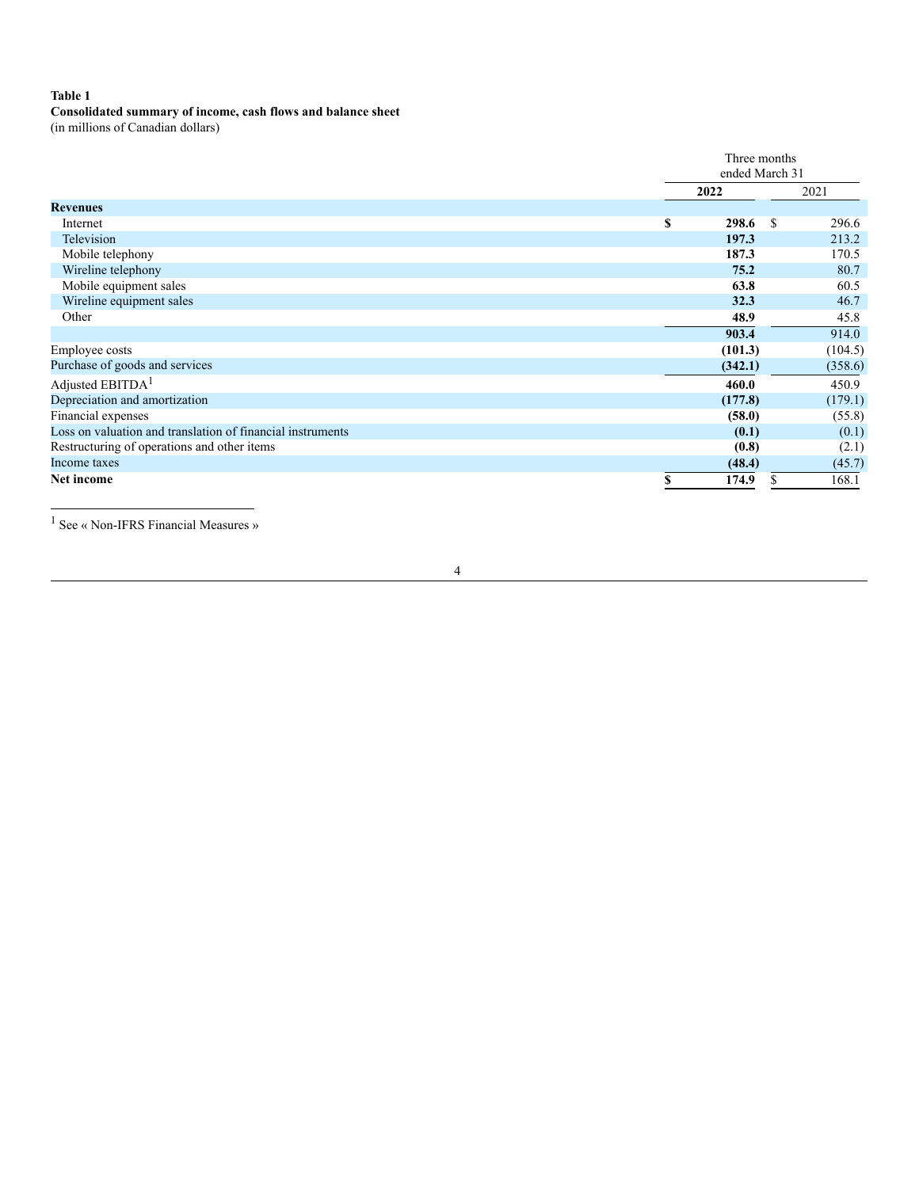# **Table 1**

# **Consolidated summary of income, cash flows and balance sheet**

(in millions of Canadian dollars)

|                                                            |      | Three months<br>ended March 31 |                        |  |  |  |
|------------------------------------------------------------|------|--------------------------------|------------------------|--|--|--|
|                                                            | 2022 |                                | 2021                   |  |  |  |
| <b>Revenues</b>                                            |      |                                |                        |  |  |  |
| Internet                                                   | \$   | 298.6                          | 296.6<br><sup>\$</sup> |  |  |  |
| Television                                                 |      | 197.3                          | 213.2                  |  |  |  |
| Mobile telephony                                           |      | 187.3                          | 170.5                  |  |  |  |
| Wireline telephony                                         |      | 75.2                           | 80.7                   |  |  |  |
| Mobile equipment sales                                     |      | 63.8                           | 60.5                   |  |  |  |
| Wireline equipment sales                                   |      | 32.3                           | 46.7                   |  |  |  |
| Other                                                      |      | 48.9                           | 45.8                   |  |  |  |
|                                                            |      | 903.4                          | 914.0                  |  |  |  |
| Employee costs                                             |      | (101.3)                        | (104.5)                |  |  |  |
| Purchase of goods and services                             |      | (342.1)                        | (358.6)                |  |  |  |
| Adjusted EBITDA <sup>1</sup>                               |      | 460.0                          | 450.9                  |  |  |  |
| Depreciation and amortization                              |      | (177.8)                        | (179.1)                |  |  |  |
| Financial expenses                                         |      | (58.0)                         | (55.8)                 |  |  |  |
| Loss on valuation and translation of financial instruments |      | (0.1)                          | (0.1)                  |  |  |  |
| Restructuring of operations and other items                |      | (0.8)                          | (2.1)                  |  |  |  |
| Income taxes                                               |      | (48.4)                         | (45.7)                 |  |  |  |
| <b>Net income</b>                                          | S    | 174.9                          | \$<br>168.1            |  |  |  |

<sup>1</sup> See « Non-IFRS Financial Measures »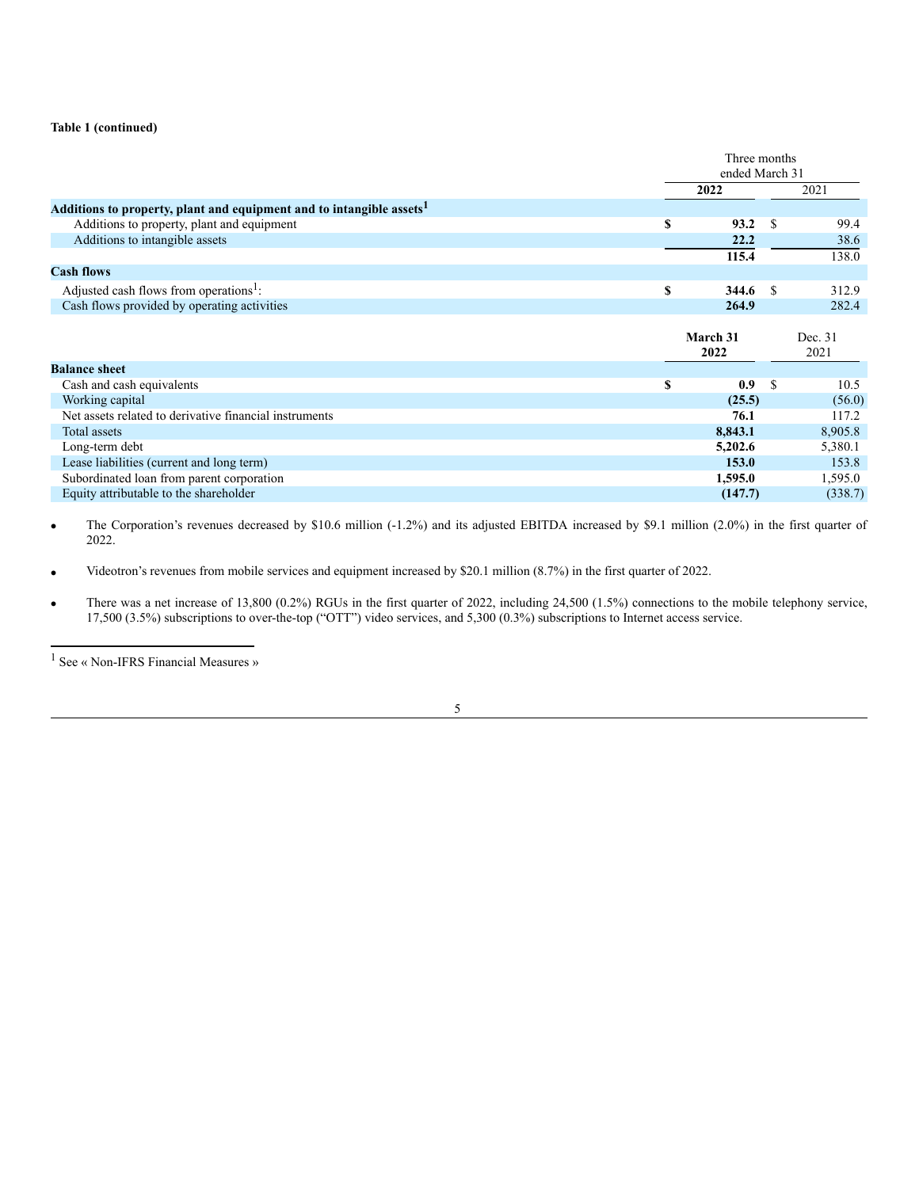## **Table 1 (continued)**

|                                                                                  | Three months   |    |         |  |  |
|----------------------------------------------------------------------------------|----------------|----|---------|--|--|
|                                                                                  | ended March 31 |    |         |  |  |
|                                                                                  | 2022           |    | 2021    |  |  |
| Additions to property, plant and equipment and to intangible assets <sup>1</sup> |                |    |         |  |  |
| Additions to property, plant and equipment                                       | \$<br>93.2     | S  | 99.4    |  |  |
| Additions to intangible assets                                                   | 22.2           |    | 38.6    |  |  |
|                                                                                  | 115.4          |    | 138.0   |  |  |
| <b>Cash flows</b>                                                                |                |    |         |  |  |
| Adjusted cash flows from operations <sup>1</sup> :                               | \$<br>344.6    | -S | 312.9   |  |  |
| Cash flows provided by operating activities                                      | 264.9          |    | 282.4   |  |  |
|                                                                                  |                |    |         |  |  |
|                                                                                  | March 31       |    | Dec. 31 |  |  |
|                                                                                  |                |    |         |  |  |
|                                                                                  | 2022           |    | 2021    |  |  |
| <b>Balance sheet</b>                                                             |                |    |         |  |  |
| Cash and cash equivalents                                                        | \$<br>0.9      | -S | 10.5    |  |  |
| Working capital                                                                  | (25.5)         |    | (56.0)  |  |  |
| Net assets related to derivative financial instruments                           | 76.1           |    | 117.2   |  |  |
| Total assets                                                                     | 8,843.1        |    | 8,905.8 |  |  |
| Long-term debt                                                                   | 5,202.6        |    | 5,380.1 |  |  |
| Lease liabilities (current and long term)                                        | 153.0          |    | 153.8   |  |  |
| Subordinated loan from parent corporation                                        | 1,595.0        |    | 1,595.0 |  |  |

The Corporation's revenues decreased by \$10.6 million (-1.2%) and its adjusted EBITDA increased by \$9.1 million (2.0%) in the first quarter of 2022.

Videotron's revenues from mobile services and equipment increased by \$20.1 million (8.7%) in the first quarter of 2022.

There was a net increase of 13,800 (0.2%) RGUs in the first quarter of 2022, including 24,500 (1.5%) connections to the mobile telephony service, 17,500 (3.5%) subscriptions to over-the-top ("OTT") video services, and 5,300 (0.3%) subscriptions to Internet access service.



<sup>1</sup> See « Non-IFRS Financial Measures »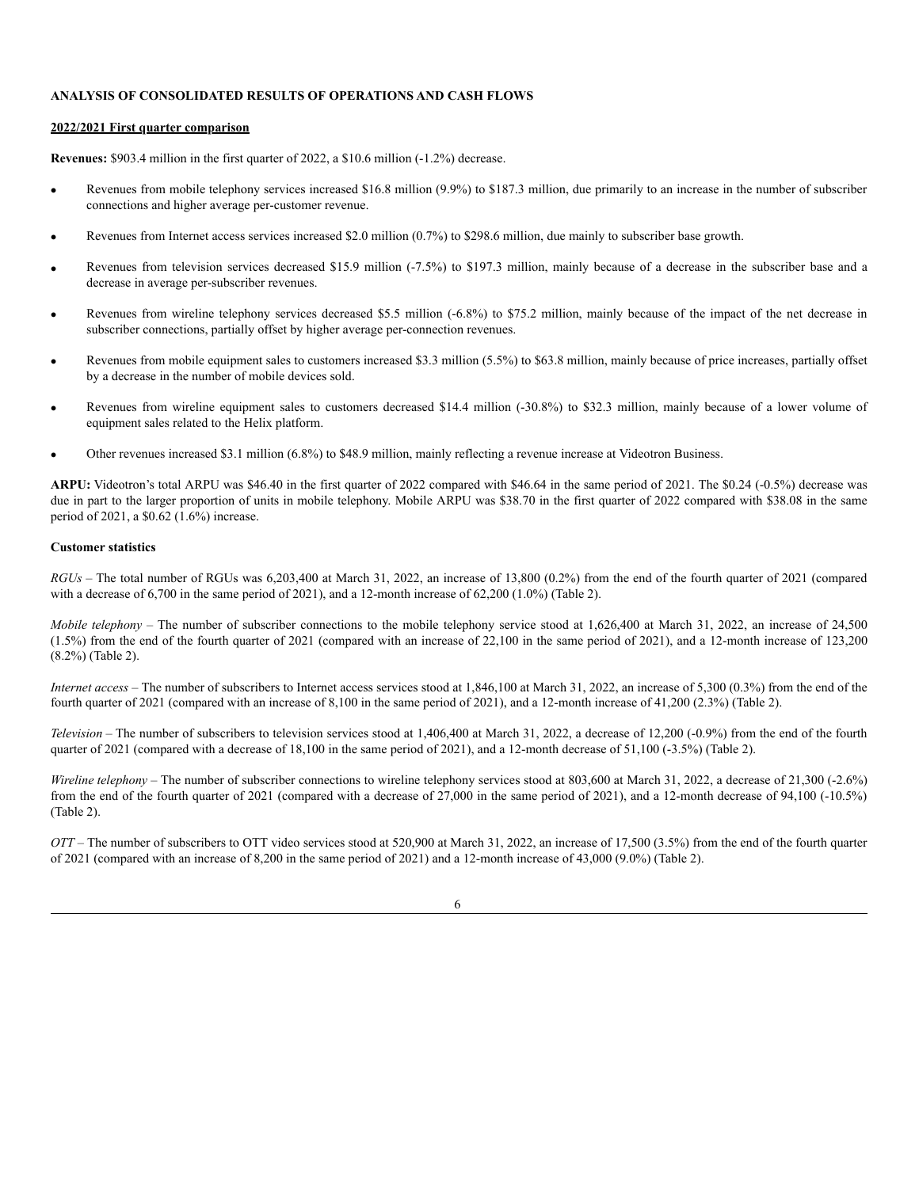## **ANALYSIS OF CONSOLIDATED RESULTS OF OPERATIONS AND CASH FLOWS**

#### **2022/2021 First quarter comparison**

**Revenues:** \$903.4 million in the first quarter of 2022, a \$10.6 million (-1.2%) decrease.

- Revenues from mobile telephony services increased \$16.8 million (9.9%) to \$187.3 million, due primarily to an increase in the number of subscriber connections and higher average per-customer revenue.
- Revenues from Internet access services increased \$2.0 million (0.7%) to \$298.6 million, due mainly to subscriber base growth.
- Revenues from television services decreased \$15.9 million (-7.5%) to \$197.3 million, mainly because of a decrease in the subscriber base and a decrease in average per-subscriber revenues.
- Revenues from wireline telephony services decreased \$5.5 million (-6.8%) to \$75.2 million, mainly because of the impact of the net decrease in subscriber connections, partially offset by higher average per-connection revenues.
- Revenues from mobile equipment sales to customers increased \$3.3 million (5.5%) to \$63.8 million, mainly because of price increases, partially offset by a decrease in the number of mobile devices sold.
- Revenues from wireline equipment sales to customers decreased \$14.4 million (-30.8%) to \$32.3 million, mainly because of a lower volume of equipment sales related to the Helix platform.
- Other revenues increased \$3.1 million (6.8%) to \$48.9 million, mainly reflecting a revenue increase at Videotron Business.

**ARPU:** Videotron's total ARPU was \$46.40 in the first quarter of 2022 compared with \$46.64 in the same period of 2021. The \$0.24 (-0.5%) decrease was due in part to the larger proportion of units in mobile telephony. Mobile ARPU was \$38.70 in the first quarter of 2022 compared with \$38.08 in the same period of 2021, a \$0.62 (1.6%) increase.

#### **Customer statistics**

*RGUs* – The total number of RGUs was 6,203,400 at March 31, 2022, an increase of 13,800 (0.2%) from the end of the fourth quarter of 2021 (compared with a decrease of 6,700 in the same period of 2021), and a 12-month increase of 62,200 (1.0%) (Table 2).

*Mobile telephony* – The number of subscriber connections to the mobile telephony service stood at 1,626,400 at March 31, 2022, an increase of 24,500 (1.5%) from the end of the fourth quarter of 2021 (compared with an increase of 22,100 in the same period of 2021), and a 12-month increase of 123,200 (8.2%) (Table 2).

*Internet access* – The number of subscribers to Internet access services stood at 1,846,100 at March 31, 2022, an increase of 5,300 (0.3%) from the end of the fourth quarter of 2021 (compared with an increase of 8,100 in the same period of 2021), and a 12-month increase of 41,200 (2.3%) (Table 2).

*Television –* The number of subscribers to television services stood at 1,406,400 at March 31, 2022, a decrease of 12,200 (-0.9%) from the end of the fourth quarter of 2021 (compared with a decrease of 18,100 in the same period of 2021), and a 12-month decrease of 51,100 (-3.5%) (Table 2).

*Wireline telephony* – The number of subscriber connections to wireline telephony services stood at 803,600 at March 31, 2022, a decrease of 21,300 (-2.6%) from the end of the fourth quarter of 2021 (compared with a decrease of 27,000 in the same period of 2021), and a 12-month decrease of 94,100 (-10.5%) (Table 2).

*OTT* – The number of subscribers to OTT video services stood at 520,900 at March 31, 2022, an increase of 17,500 (3.5%) from the end of the fourth quarter of 2021 (compared with an increase of 8,200 in the same period of 2021) and a 12-month increase of 43,000 (9.0%) (Table 2).

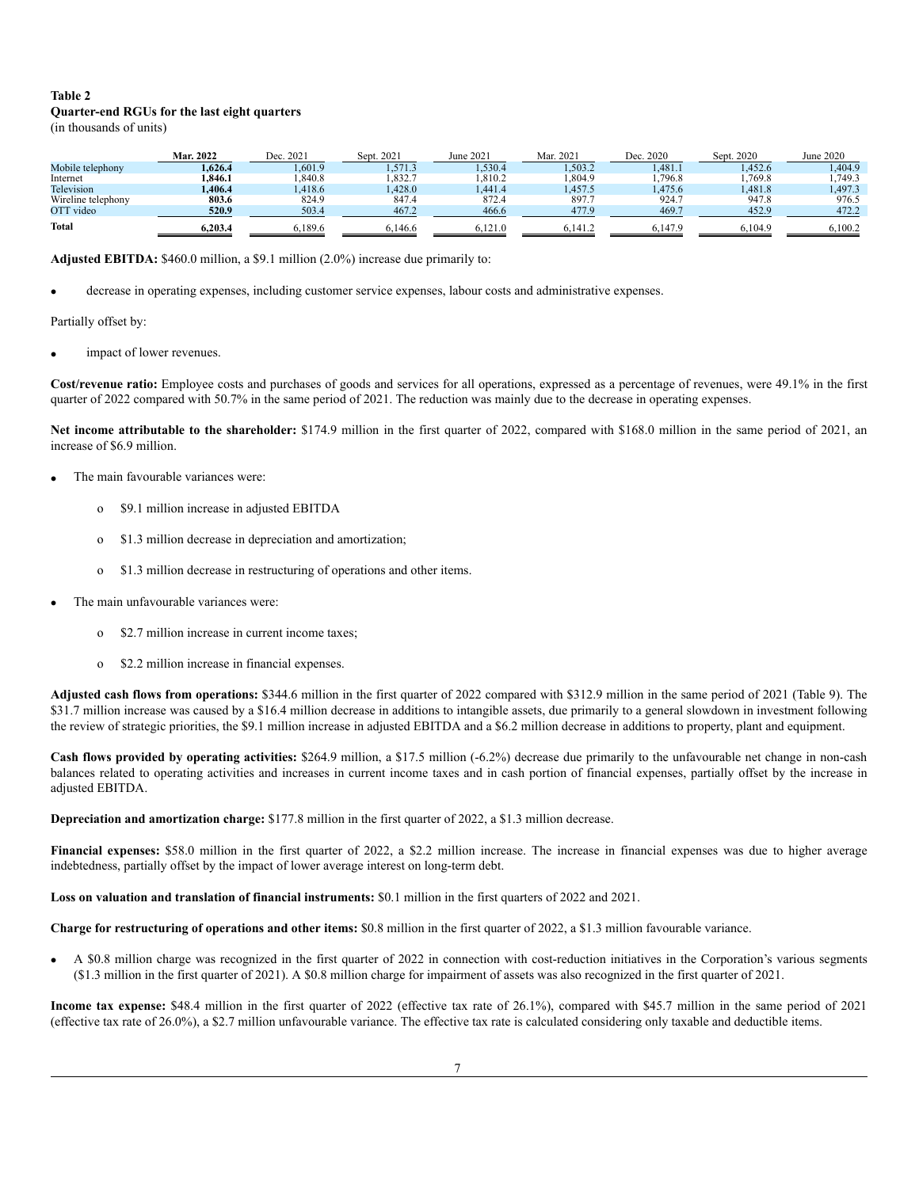# **Table 2 Quarter-end RGUs for the last eight quarters**

(in thousands of units)

|                    | Mar. 2022 | Dec. 2021 | Sept. 2021 | June 2021 | Mar. 2021 | Dec. 2020 | Sept. 2020 | June 2020 |
|--------------------|-----------|-----------|------------|-----------|-----------|-----------|------------|-----------|
| Mobile telephony   | 1.626.4   | .,601.9   | 1.571.3    | .530.4    | 1,503.2   | 1.481.1   | 1.452.6    | .404.9    |
| Internet           | .846.1    | .840.8    | .832.7     | 1,810.2   | .304.9    | 1,796.8   | 1,769.8    | ,749.3    |
| Television         | .406.4    | .418.6    | .428.0     | .441.4    | 1.457.5   | 1.475.6   | 1.481.8    | 1.497.3   |
| Wireline telephony | 803.6     | 824.9     | 847.4      | 872.4     | 897.7     | 924.7     | 947.8      | 976.5     |
| OTT video          | 520.9     | 503.4     | 467.2      | 466.6     | 477.9     | 469.7     | 452.9      | 472.2     |
| <b>Total</b>       | 6.203.4   | 6.189.6   | 6.146.6    | 6.121.0   | 6.141.2   | 6.147.9   | 6.104.9    | 6.100.2   |

**Adjusted EBITDA:** \$460.0 million, a \$9.1 million (2.0%) increase due primarily to:

decrease in operating expenses, including customer service expenses, labour costs and administrative expenses.

Partially offset by:

impact of lower revenues.

**Cost/revenue ratio:** Employee costs and purchases of goods and services for all operations, expressed as a percentage of revenues, were 49.1% in the first quarter of 2022 compared with 50.7% in the same period of 2021. The reduction was mainly due to the decrease in operating expenses.

**Net income attributable to the shareholder:** \$174.9 million in the first quarter of 2022, compared with \$168.0 million in the same period of 2021, an increase of \$6.9 million.

- The main favourable variances were:
	- o \$9.1 million increase in adjusted EBITDA
	- o \$1.3 million decrease in depreciation and amortization;
	- o \$1.3 million decrease in restructuring of operations and other items.
- The main unfavourable variances were:
	- \$2.7 million increase in current income taxes;
	- o \$2.2 million increase in financial expenses.

**Adjusted cash flows from operations:** \$344.6 million in the first quarter of 2022 compared with \$312.9 million in the same period of 2021 (Table 9). The \$31.7 million increase was caused by a \$16.4 million decrease in additions to intangible assets, due primarily to a general slowdown in investment following the review of strategic priorities, the \$9.1 million increase in adjusted EBITDA and a \$6.2 million decrease in additions to property, plant and equipment.

**Cash flows provided by operating activities:** \$264.9 million, a \$17.5 million (-6.2%) decrease due primarily to the unfavourable net change in non-cash balances related to operating activities and increases in current income taxes and in cash portion of financial expenses, partially offset by the increase in adjusted EBITDA.

**Depreciation and amortization charge:** \$177.8 million in the first quarter of 2022, a \$1.3 million decrease.

**Financial expenses:** \$58.0 million in the first quarter of 2022, a \$2.2 million increase. The increase in financial expenses was due to higher average indebtedness, partially offset by the impact of lower average interest on long-term debt.

**Loss on valuation and translation of financial instruments:** \$0.1 million in the first quarters of 2022 and 2021.

**Charge for restructuring of operations and other items:** \$0.8 million in the first quarter of 2022, a \$1.3 million favourable variance.

· A \$0.8 million charge was recognized in the first quarter of 2022 in connection with cost-reduction initiatives in the Corporation's various segments (\$1.3 million in the first quarter of 2021). A \$0.8 million charge for impairment of assets was also recognized in the first quarter of 2021.

**Income tax expense:** \$48.4 million in the first quarter of 2022 (effective tax rate of 26.1%), compared with \$45.7 million in the same period of 2021 (effective tax rate of 26.0%), a \$2.7 million unfavourable variance. The effective tax rate is calculated considering only taxable and deductible items.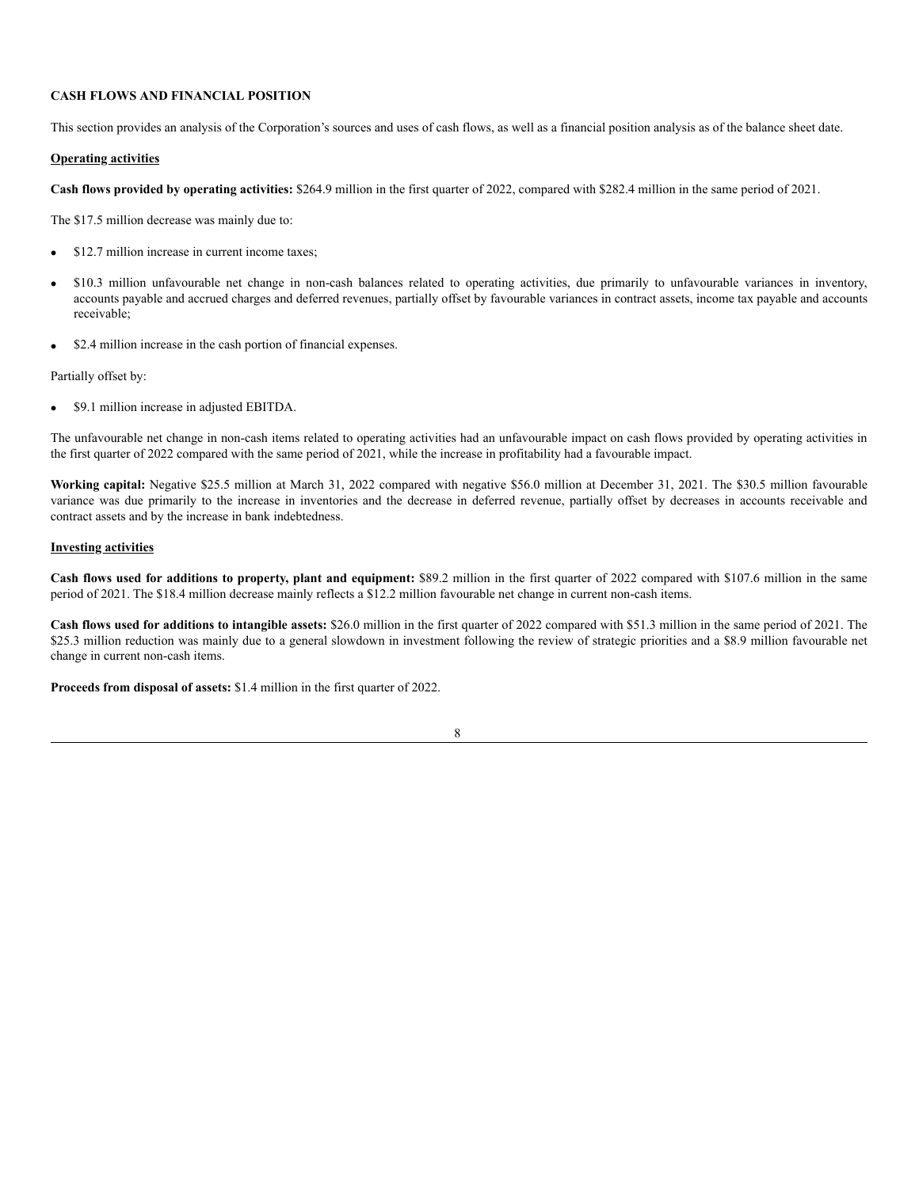# **CASH FLOWS AND FINANCIAL POSITION**

This section provides an analysis of the Corporation's sources and uses of cash flows, as well as a financial position analysis as of the balance sheet date.

### **Operating activities**

**Cash flows provided by operating activities:** \$264.9 million in the first quarter of 2022, compared with \$282.4 million in the same period of 2021.

The \$17.5 million decrease was mainly due to:

- · \$12.7 million increase in current income taxes;
- · \$10.3 million unfavourable net change in non-cash balances related to operating activities, due primarily to unfavourable variances in inventory, accounts payable and accrued charges and deferred revenues, partially offset by favourable variances in contract assets, income tax payable and accounts receivable;
- \$2.4 million increase in the cash portion of financial expenses.

Partially offset by:

· \$9.1 million increase in adjusted EBITDA.

The unfavourable net change in non-cash items related to operating activities had an unfavourable impact on cash flows provided by operating activities in the first quarter of 2022 compared with the same period of 2021, while the increase in profitability had a favourable impact.

**Working capital:** Negative \$25.5 million at March 31, 2022 compared with negative \$56.0 million at December 31, 2021. The \$30.5 million favourable variance was due primarily to the increase in inventories and the decrease in deferred revenue, partially offset by decreases in accounts receivable and contract assets and by the increase in bank indebtedness.

# **Investing activities**

**Cash flows used for additions to property, plant and equipment:** \$89.2 million in the first quarter of 2022 compared with \$107.6 million in the same period of 2021. The \$18.4 million decrease mainly reflects a \$12.2 million favourable net change in current non-cash items.

**Cash flows used for additions to intangible assets:** \$26.0 million in the first quarter of 2022 compared with \$51.3 million in the same period of 2021. The \$25.3 million reduction was mainly due to a general slowdown in investment following the review of strategic priorities and a \$8.9 million favourable net change in current non-cash items.

**Proceeds from disposal of assets:** \$1.4 million in the first quarter of 2022.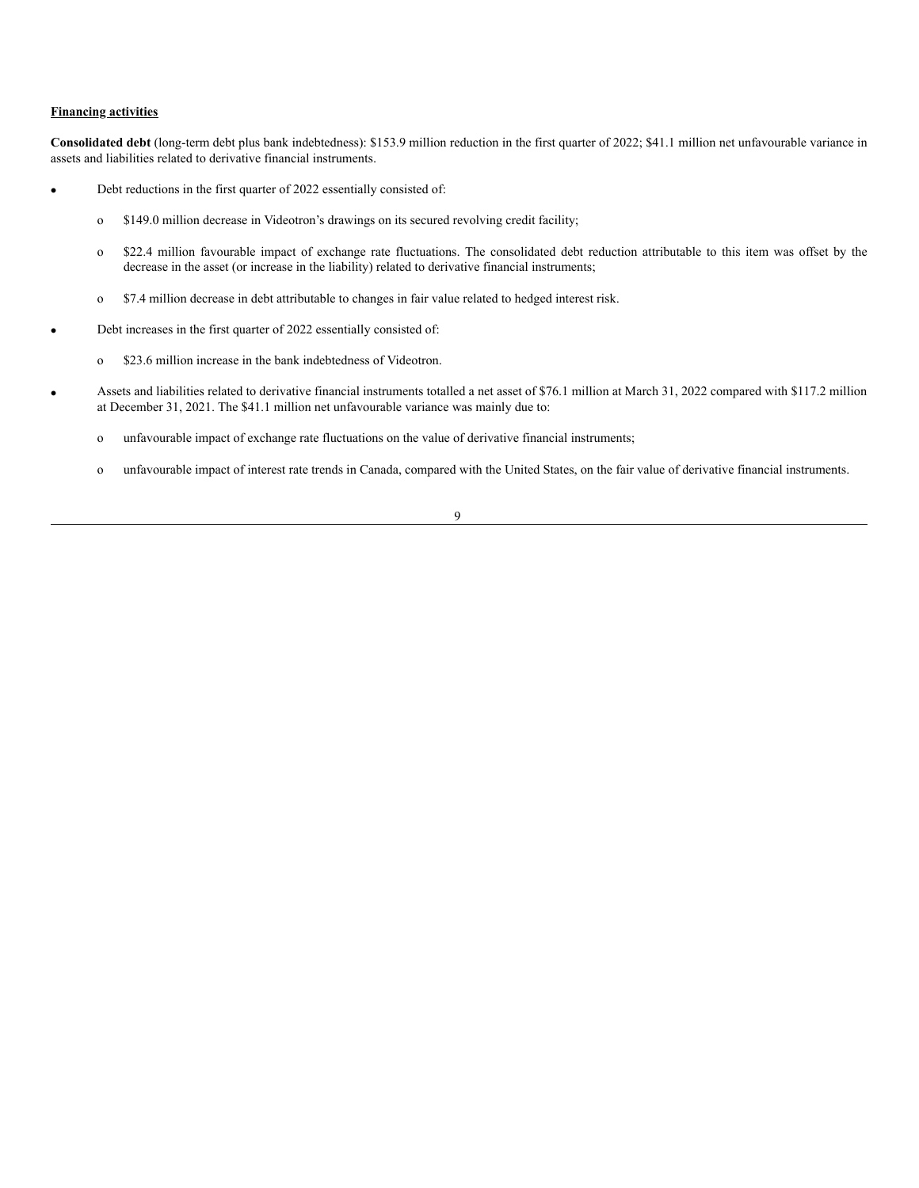## **Financing activities**

**Consolidated debt** (long-term debt plus bank indebtedness): \$153.9 million reduction in the first quarter of 2022; \$41.1 million net unfavourable variance in assets and liabilities related to derivative financial instruments.

- Debt reductions in the first quarter of 2022 essentially consisted of:
	- o \$149.0 million decrease in Videotron's drawings on its secured revolving credit facility;
	- o \$22.4 million favourable impact of exchange rate fluctuations. The consolidated debt reduction attributable to this item was offset by the decrease in the asset (or increase in the liability) related to derivative financial instruments;
	- o \$7.4 million decrease in debt attributable to changes in fair value related to hedged interest risk.
- Debt increases in the first quarter of 2022 essentially consisted of:
	- o \$23.6 million increase in the bank indebtedness of Videotron.
- Assets and liabilities related to derivative financial instruments totalled a net asset of \$76.1 million at March 31, 2022 compared with \$117.2 million at December 31, 2021. The \$41.1 million net unfavourable variance was mainly due to:
	- o unfavourable impact of exchange rate fluctuations on the value of derivative financial instruments;
	- o unfavourable impact of interest rate trends in Canada, compared with the United States, on the fair value of derivative financial instruments.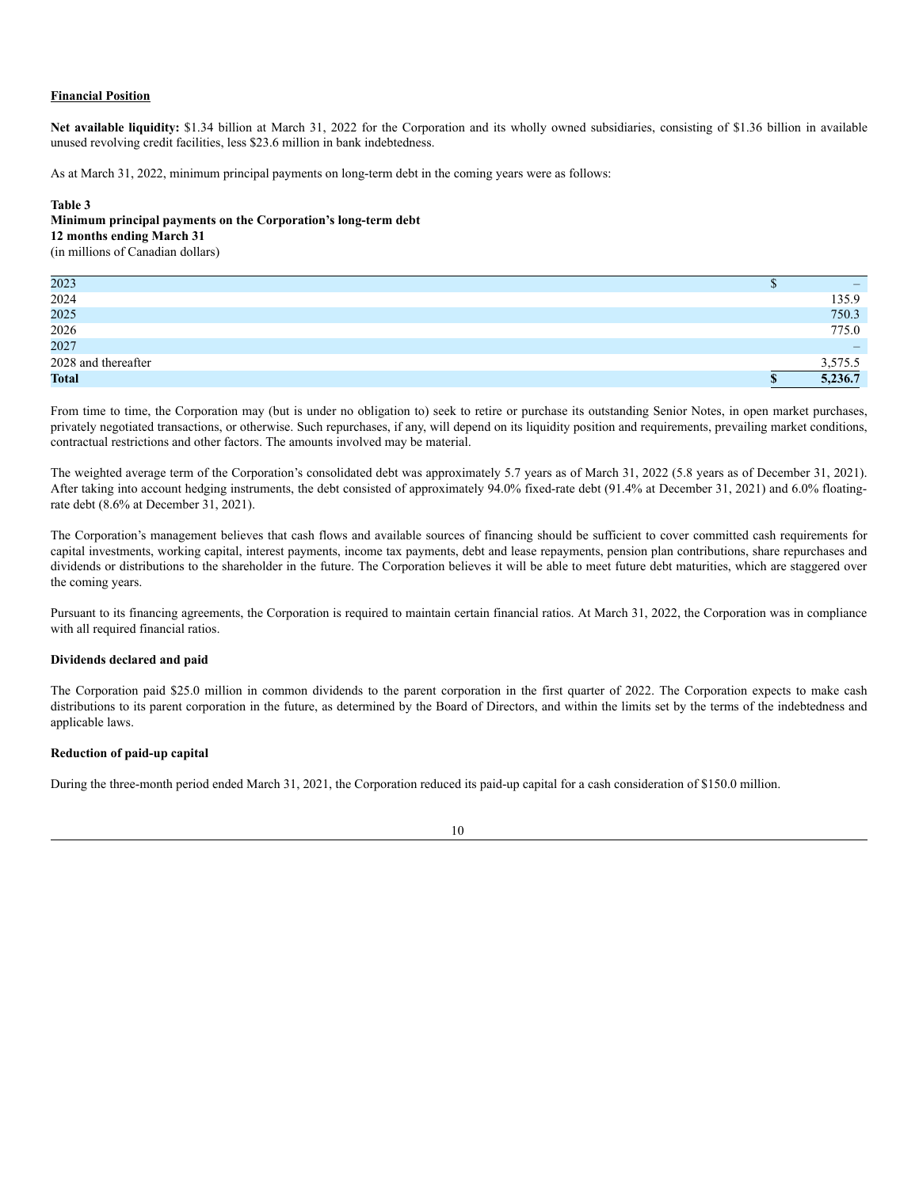## **Financial Position**

**Net available liquidity:** \$1.34 billion at March 31, 2022 for the Corporation and its wholly owned subsidiaries, consisting of \$1.36 billion in available unused revolving credit facilities, less \$23.6 million in bank indebtedness.

As at March 31, 2022, minimum principal payments on long-term debt in the coming years were as follows:

### **Table 3**

# **Minimum principal payments on the Corporation's long-term debt 12 months ending March 31**

(in millions of Canadian dollars)

| 2023                |    |         |
|---------------------|----|---------|
| 2024                |    | 135.9   |
| 2025                |    | 750.3   |
| 2026                |    | 775.0   |
| 2027                |    |         |
| 2028 and thereafter |    | 3,575.5 |
| <b>Total</b>        | ۰D | 5,236.7 |

From time to time, the Corporation may (but is under no obligation to) seek to retire or purchase its outstanding Senior Notes, in open market purchases, privately negotiated transactions, or otherwise. Such repurchases, if any, will depend on its liquidity position and requirements, prevailing market conditions, contractual restrictions and other factors. The amounts involved may be material.

The weighted average term of the Corporation's consolidated debt was approximately 5.7 years as of March 31, 2022 (5.8 years as of December 31, 2021). After taking into account hedging instruments, the debt consisted of approximately 94.0% fixed-rate debt (91.4% at December 31, 2021) and 6.0% floatingrate debt (8.6% at December 31, 2021).

The Corporation's management believes that cash flows and available sources of financing should be sufficient to cover committed cash requirements for capital investments, working capital, interest payments, income tax payments, debt and lease repayments, pension plan contributions, share repurchases and dividends or distributions to the shareholder in the future. The Corporation believes it will be able to meet future debt maturities, which are staggered over the coming years.

Pursuant to its financing agreements, the Corporation is required to maintain certain financial ratios. At March 31, 2022, the Corporation was in compliance with all required financial ratios.

## **Dividends declared and paid**

The Corporation paid \$25.0 million in common dividends to the parent corporation in the first quarter of 2022. The Corporation expects to make cash distributions to its parent corporation in the future, as determined by the Board of Directors, and within the limits set by the terms of the indebtedness and applicable laws.

## **Reduction of paid-up capital**

During the three-month period ended March 31, 2021, the Corporation reduced its paid-up capital for a cash consideration of \$150.0 million.

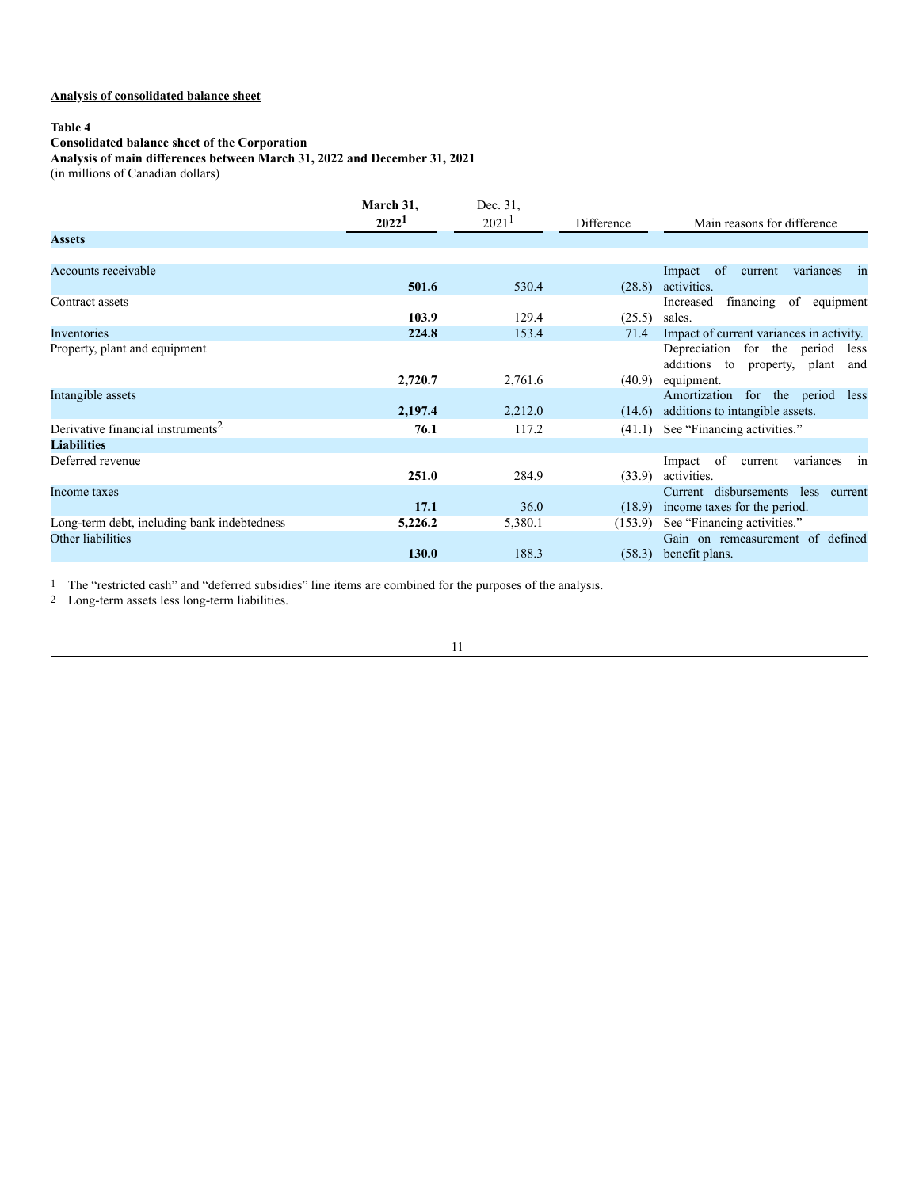# **Analysis of consolidated balance sheet**

# **Table 4**

#### **Consolidated balance sheet of the Corporation**

#### **Analysis of main differences between March 31, 2022 and December 31, 2021**

(in millions of Canadian dollars)

|                                               | March 31,<br>2022 <sup>1</sup> | Dec. 31,<br>2021 <sup>1</sup> | Difference       | Main reasons for difference                                                              |
|-----------------------------------------------|--------------------------------|-------------------------------|------------------|------------------------------------------------------------------------------------------|
| <b>Assets</b>                                 |                                |                               |                  |                                                                                          |
| Accounts receivable                           | 501.6                          | 530.4                         |                  | variances<br>Impact of<br>current<br>$\overline{\text{in}}$<br>activities.               |
| Contract assets                               | 103.9                          | 129.4                         | (28.8)<br>(25.5) | financing of equipment<br>Increased<br>sales.                                            |
| Inventories                                   | 224.8                          | 153.4                         | 71.4             | Impact of current variances in activity.                                                 |
| Property, plant and equipment                 | 2,720.7                        | 2,761.6                       | (40.9)           | Depreciation for the period<br>less<br>additions to property, plant<br>and<br>equipment. |
| Intangible assets                             | 2,197.4                        | 2,212.0                       | (14.6)           | Amortization for the period<br>less<br>additions to intangible assets.                   |
| Derivative financial instruments <sup>2</sup> | 76.1                           | 117.2                         | (41.1)           | See "Financing activities."                                                              |
| <b>Liabilities</b>                            |                                |                               |                  |                                                                                          |
| Deferred revenue                              | 251.0                          | 284.9                         | (33.9)           | of<br>variances<br>current<br>Impact<br>1n<br>activities.                                |
| Income taxes                                  | 17.1                           | 36.0                          | (18.9)           | Current disbursements less current<br>income taxes for the period.                       |
| Long-term debt, including bank indebtedness   | 5,226.2                        | 5,380.1                       | (153.9)          | See "Financing activities."                                                              |
| Other liabilities                             | 130.0                          | 188.3                         | (58.3)           | Gain on remeasurement of defined<br>benefit plans.                                       |

1 The "restricted cash" and "deferred subsidies" line items are combined for the purposes of the analysis.

2 Long-term assets less long-term liabilities.

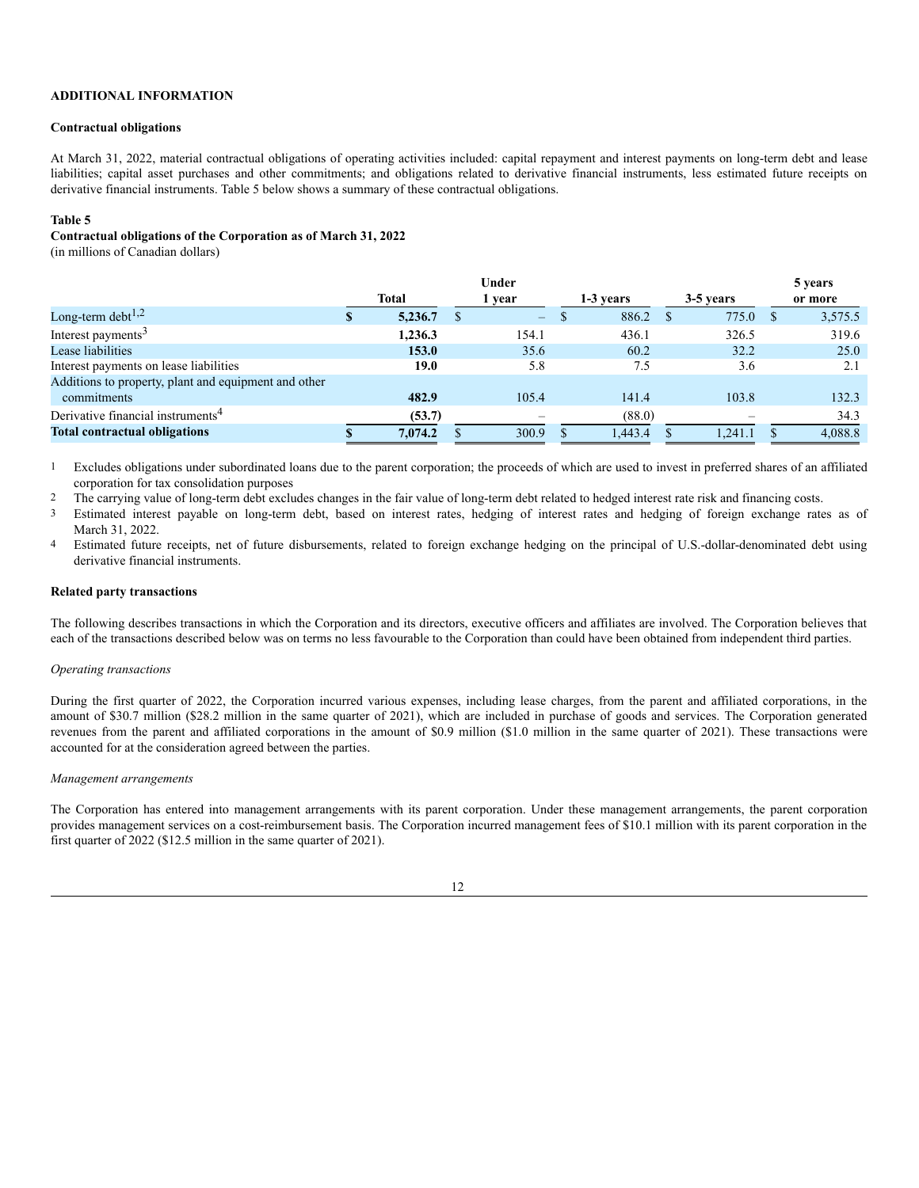# **ADDITIONAL INFORMATION**

#### **Contractual obligations**

At March 31, 2022, material contractual obligations of operating activities included: capital repayment and interest payments on long-term debt and lease liabilities; capital asset purchases and other commitments; and obligations related to derivative financial instruments, less estimated future receipts on derivative financial instruments. Table 5 below shows a summary of these contractual obligations.

#### **Table 5**

#### **Contractual obligations of the Corporation as of March 31, 2022**

(in millions of Canadian dollars)

|                                                      | Under        |         |        |          |           |         |           |         | 5 years |
|------------------------------------------------------|--------------|---------|--------|----------|-----------|---------|-----------|---------|---------|
|                                                      | <b>Total</b> |         | 1 year |          | 1-3 years |         | 3-5 years |         | or more |
| Long-term debt $^{1,2}$                              |              | 5,236.7 |        | $\equiv$ |           | 886.2   |           | 775.0   | 3,575.5 |
| Interest payments <sup>3</sup>                       |              | 1.236.3 |        | 154.1    |           | 436.1   |           | 326.5   | 319.6   |
| Lease liabilities                                    |              | 153.0   |        | 35.6     |           | 60.2    |           | 32.2    | 25.0    |
| Interest payments on lease liabilities               |              | 19.0    |        | 5.8      |           | 7.5     |           | 3.6     | 2.1     |
| Additions to property, plant and equipment and other |              |         |        |          |           |         |           |         |         |
| commitments                                          |              | 482.9   |        | 105.4    |           | 141.4   |           | 103.8   | 132.3   |
| Derivative financial instruments <sup>4</sup>        |              | (53.7)  |        |          |           | (88.0)  |           |         | 34.3    |
| <b>Total contractual obligations</b>                 |              | 7,074.2 |        | 300.9    |           | 1,443.4 |           | 1.241.1 | 4,088.8 |

<sup>1</sup> Excludes obligations under subordinated loans due to the parent corporation; the proceeds of which are used to invest in preferred shares of an affiliated corporation for tax consolidation purposes

<sup>2</sup> The carrying value of long-term debt excludes changes in the fair value of long-term debt related to hedged interest rate risk and financing costs.

3 Estimated interest payable on long-term debt, based on interest rates, hedging of interest rates and hedging of foreign exchange rates as of March 31, 2022.

4 Estimated future receipts, net of future disbursements, related to foreign exchange hedging on the principal of U.S.-dollar-denominated debt using derivative financial instruments.

### **Related party transactions**

The following describes transactions in which the Corporation and its directors, executive officers and affiliates are involved. The Corporation believes that each of the transactions described below was on terms no less favourable to the Corporation than could have been obtained from independent third parties.

#### *Operating transactions*

During the first quarter of 2022, the Corporation incurred various expenses, including lease charges, from the parent and affiliated corporations, in the amount of \$30.7 million (\$28.2 million in the same quarter of 2021), which are included in purchase of goods and services. The Corporation generated revenues from the parent and affiliated corporations in the amount of \$0.9 million (\$1.0 million in the same quarter of 2021). These transactions were accounted for at the consideration agreed between the parties.

#### *Management arrangements*

The Corporation has entered into management arrangements with its parent corporation. Under these management arrangements, the parent corporation provides management services on a cost-reimbursement basis. The Corporation incurred management fees of \$10.1 million with its parent corporation in the first quarter of 2022 (\$12.5 million in the same quarter of 2021).

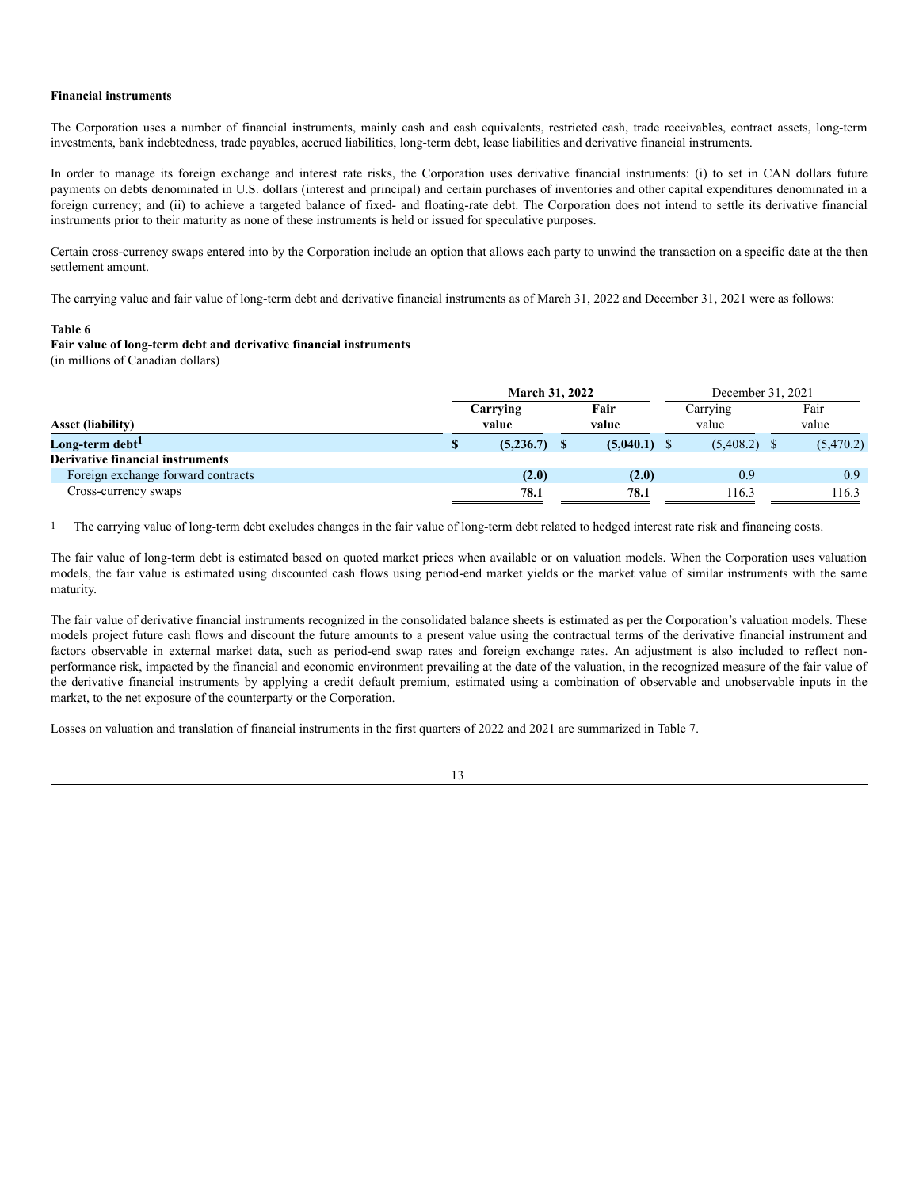#### **Financial instruments**

The Corporation uses a number of financial instruments, mainly cash and cash equivalents, restricted cash, trade receivables, contract assets, long-term investments, bank indebtedness, trade payables, accrued liabilities, long-term debt, lease liabilities and derivative financial instruments.

In order to manage its foreign exchange and interest rate risks, the Corporation uses derivative financial instruments: (i) to set in CAN dollars future payments on debts denominated in U.S. dollars (interest and principal) and certain purchases of inventories and other capital expenditures denominated in a foreign currency; and (ii) to achieve a targeted balance of fixed- and floating-rate debt. The Corporation does not intend to settle its derivative financial instruments prior to their maturity as none of these instruments is held or issued for speculative purposes.

Certain cross-currency swaps entered into by the Corporation include an option that allows each party to unwind the transaction on a specific date at the then settlement amount.

The carrying value and fair value of long-term debt and derivative financial instruments as of March 31, 2022 and December 31, 2021 were as follows:

## **Table 6**

**Fair value of long-term debt and derivative financial instruments** (in millions of Canadian dollars)

|                                         |          | <b>March 31, 2022</b> |  |                |  | December 31, 2021 |       |           |  |
|-----------------------------------------|----------|-----------------------|--|----------------|--|-------------------|-------|-----------|--|
|                                         | Carrying |                       |  | Fair           |  |                   |       | Fair      |  |
| <b>Asset (liability)</b>                |          | value                 |  | value          |  | value             | value |           |  |
| Long-term debt <sup>1</sup>             |          | $(5,236.7)$ \$        |  | $(5,040.1)$ \$ |  | $(5,408.2)$ \$    |       | (5,470.2) |  |
| <b>Derivative financial instruments</b> |          |                       |  |                |  |                   |       |           |  |
| Foreign exchange forward contracts      |          | (2.0)                 |  | (2.0)          |  | 0.9               |       | 0.9       |  |
| Cross-currency swaps                    |          | 78.1                  |  | 78.1           |  | 116.3             |       | 116.3     |  |

1 The carrying value of long-term debt excludes changes in the fair value of long-term debt related to hedged interest rate risk and financing costs.

The fair value of long-term debt is estimated based on quoted market prices when available or on valuation models. When the Corporation uses valuation models, the fair value is estimated using discounted cash flows using period-end market yields or the market value of similar instruments with the same maturity.

The fair value of derivative financial instruments recognized in the consolidated balance sheets is estimated as per the Corporation's valuation models. These models project future cash flows and discount the future amounts to a present value using the contractual terms of the derivative financial instrument and factors observable in external market data, such as period-end swap rates and foreign exchange rates. An adjustment is also included to reflect nonperformance risk, impacted by the financial and economic environment prevailing at the date of the valuation, in the recognized measure of the fair value of the derivative financial instruments by applying a credit default premium, estimated using a combination of observable and unobservable inputs in the market, to the net exposure of the counterparty or the Corporation.

Losses on valuation and translation of financial instruments in the first quarters of 2022 and 2021 are summarized in Table 7.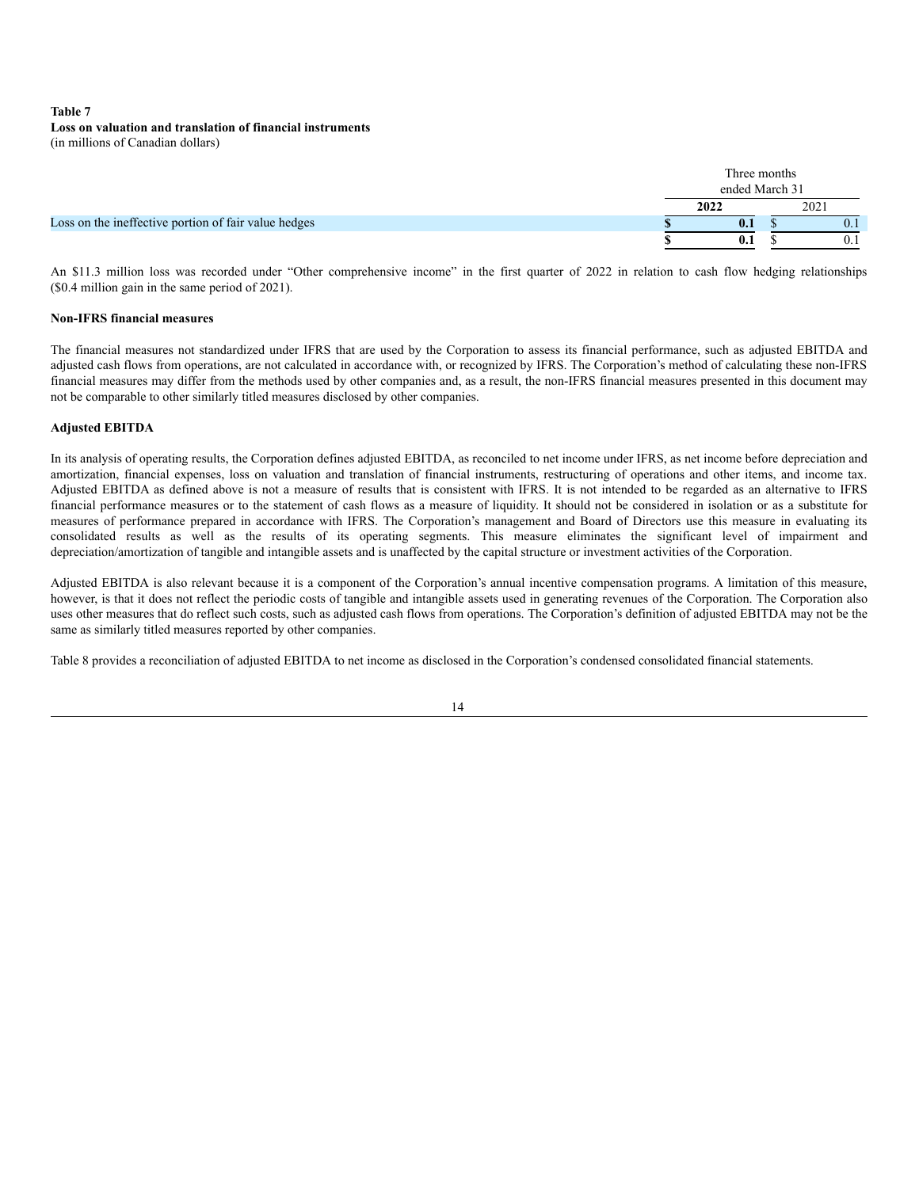# **Table 7 Loss on valuation and translation of financial instruments** (in millions of Canadian dollars)

|                                                      | Three months<br>ended March 31 |      |      |  |  |  |
|------------------------------------------------------|--------------------------------|------|------|--|--|--|
|                                                      | 2022                           | 2021 |      |  |  |  |
| Loss on the ineffective portion of fair value hedges | 0.1                            |      | v. I |  |  |  |
|                                                      | 0.1                            |      | v. i |  |  |  |

An \$11.3 million loss was recorded under "Other comprehensive income" in the first quarter of 2022 in relation to cash flow hedging relationships (\$0.4 million gain in the same period of 2021).

# **Non-IFRS financial measures**

The financial measures not standardized under IFRS that are used by the Corporation to assess its financial performance, such as adjusted EBITDA and adjusted cash flows from operations, are not calculated in accordance with, or recognized by IFRS. The Corporation's method of calculating these non-IFRS financial measures may differ from the methods used by other companies and, as a result, the non-IFRS financial measures presented in this document may not be comparable to other similarly titled measures disclosed by other companies.

## **Adjusted EBITDA**

In its analysis of operating results, the Corporation defines adjusted EBITDA, as reconciled to net income under IFRS, as net income before depreciation and amortization, financial expenses, loss on valuation and translation of financial instruments, restructuring of operations and other items, and income tax. Adjusted EBITDA as defined above is not a measure of results that is consistent with IFRS. It is not intended to be regarded as an alternative to IFRS financial performance measures or to the statement of cash flows as a measure of liquidity. It should not be considered in isolation or as a substitute for measures of performance prepared in accordance with IFRS. The Corporation's management and Board of Directors use this measure in evaluating its consolidated results as well as the results of its operating segments. This measure eliminates the significant level of impairment and depreciation/amortization of tangible and intangible assets and is unaffected by the capital structure or investment activities of the Corporation.

Adjusted EBITDA is also relevant because it is a component of the Corporation's annual incentive compensation programs. A limitation of this measure, however, is that it does not reflect the periodic costs of tangible and intangible assets used in generating revenues of the Corporation. The Corporation also uses other measures that do reflect such costs, such as adjusted cash flows from operations. The Corporation's definition of adjusted EBITDA may not be the same as similarly titled measures reported by other companies.

Table 8 provides a reconciliation of adjusted EBITDA to net income as disclosed in the Corporation's condensed consolidated financial statements.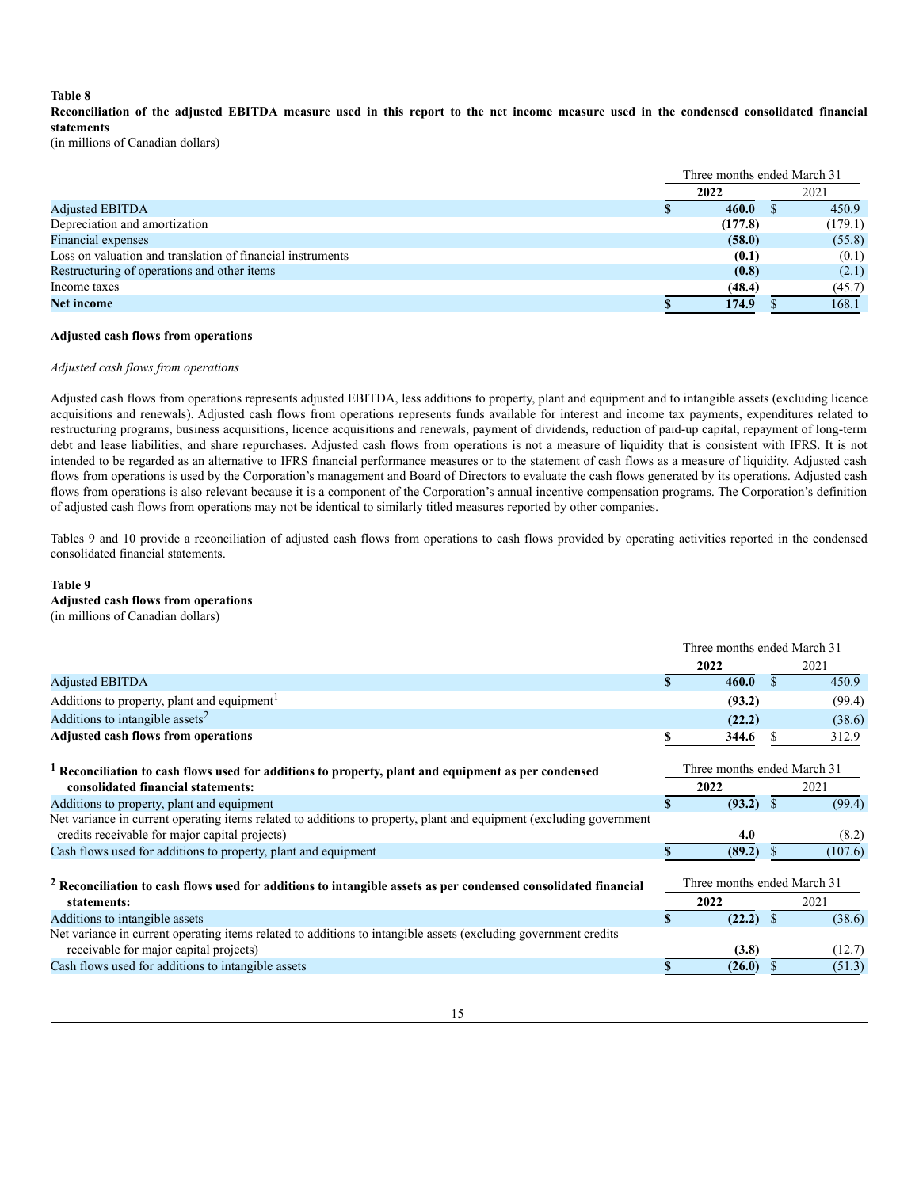#### **Table 8**

Reconciliation of the adjusted EBITDA measure used in this report to the net income measure used in the condensed consolidated financial **statements**

(in millions of Canadian dollars)

|                                                            |  | Three months ended March 31 |  |         |  |
|------------------------------------------------------------|--|-----------------------------|--|---------|--|
|                                                            |  | 2022                        |  | 2021    |  |
| <b>Adjusted EBITDA</b>                                     |  | 460.0                       |  | 450.9   |  |
| Depreciation and amortization                              |  | (177.8)                     |  | (179.1) |  |
| Financial expenses                                         |  | (58.0)                      |  | (55.8)  |  |
| Loss on valuation and translation of financial instruments |  | (0.1)                       |  | (0.1)   |  |
| Restructuring of operations and other items                |  | (0.8)                       |  | (2.1)   |  |
| Income taxes                                               |  | (48.4)                      |  | (45.7)  |  |
| <b>Net income</b>                                          |  | 174.9                       |  | 168.1   |  |

### **Adjusted cash flows from operations**

#### *Adjusted cash flows from operations*

Adjusted cash flows from operations represents adjusted EBITDA, less additions to property, plant and equipment and to intangible assets (excluding licence acquisitions and renewals). Adjusted cash flows from operations represents funds available for interest and income tax payments, expenditures related to restructuring programs, business acquisitions, licence acquisitions and renewals, payment of dividends, reduction of paid-up capital, repayment of long-term debt and lease liabilities, and share repurchases. Adjusted cash flows from operations is not a measure of liquidity that is consistent with IFRS. It is not intended to be regarded as an alternative to IFRS financial performance measures or to the statement of cash flows as a measure of liquidity. Adjusted cash flows from operations is used by the Corporation's management and Board of Directors to evaluate the cash flows generated by its operations. Adjusted cash flows from operations is also relevant because it is a component of the Corporation's annual incentive compensation programs. The Corporation's definition of adjusted cash flows from operations may not be identical to similarly titled measures reported by other companies.

Tables 9 and 10 provide a reconciliation of adjusted cash flows from operations to cash flows provided by operating activities reported in the condensed consolidated financial statements.

#### **Table 9**

# **Adjusted cash flows from operations**

(in millions of Canadian dollars)

|                                                                                                                                                                       |              | Three months ended March 31 |               |         |  |
|-----------------------------------------------------------------------------------------------------------------------------------------------------------------------|--------------|-----------------------------|---------------|---------|--|
|                                                                                                                                                                       |              | 2022                        |               | 2021    |  |
| <b>Adjusted EBITDA</b>                                                                                                                                                |              | 460.0                       | \$.           | 450.9   |  |
| Additions to property, plant and equipment <sup>1</sup>                                                                                                               |              | (93.2)                      |               | (99.4)  |  |
| Additions to intangible assets <sup>2</sup>                                                                                                                           |              | (22.2)                      |               | (38.6)  |  |
| <b>Adjusted cash flows from operations</b>                                                                                                                            |              | 344.6                       | S.            | 312.9   |  |
| <sup>1</sup> Reconciliation to cash flows used for additions to property, plant and equipment as per condensed                                                        |              | Three months ended March 31 |               |         |  |
| consolidated financial statements:                                                                                                                                    |              | 2022                        |               | 2021    |  |
| Additions to property, plant and equipment                                                                                                                            | $\mathbf{s}$ | $(93.2)$ \$                 |               | (99.4)  |  |
| Net variance in current operating items related to additions to property, plant and equipment (excluding government<br>credits receivable for major capital projects) |              | 4.0                         |               | (8.2)   |  |
| Cash flows used for additions to property, plant and equipment                                                                                                        |              | (89.2)                      | S.            | (107.6) |  |
| <sup>2</sup> Reconciliation to cash flows used for additions to intangible assets as per condensed consolidated financial                                             |              | Three months ended March 31 |               |         |  |
| statements:                                                                                                                                                           |              | 2022                        |               | 2021    |  |
| Additions to intangible assets                                                                                                                                        | \$           | (22.2)                      | <sup>\$</sup> | (38.6)  |  |
| Net variance in current operating items related to additions to intangible assets (excluding government credits                                                       |              |                             |               |         |  |
| receivable for major capital projects)                                                                                                                                |              | (3.8)                       |               | (12.7)  |  |
| Cash flows used for additions to intangible assets                                                                                                                    |              | (26.0)                      |               | (51.3)  |  |
|                                                                                                                                                                       |              |                             |               |         |  |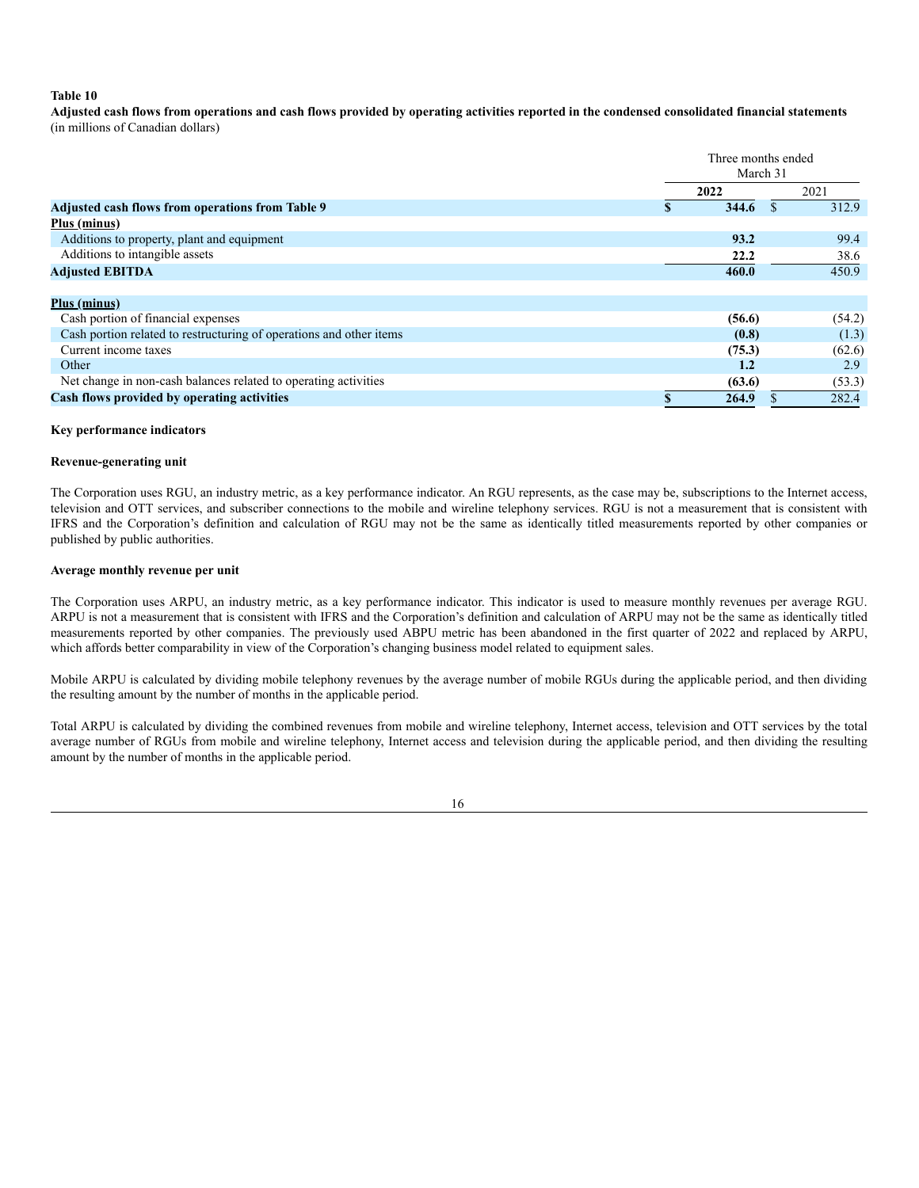# **Table 10**

Adjusted cash flows from operations and cash flows provided by operating activities reported in the condensed consolidated financial statements (in millions of Canadian dollars)

|                                                                     | Three months ended<br>March 31 |        |          |        |  |  |  |
|---------------------------------------------------------------------|--------------------------------|--------|----------|--------|--|--|--|
|                                                                     |                                | 2022   |          | 2021   |  |  |  |
| Adjusted cash flows from operations from Table 9                    | \$                             | 344.6  | <b>S</b> | 312.9  |  |  |  |
| Plus (minus)                                                        |                                |        |          |        |  |  |  |
| Additions to property, plant and equipment                          |                                | 93.2   |          | 99.4   |  |  |  |
| Additions to intangible assets                                      |                                | 22.2   |          | 38.6   |  |  |  |
| <b>Adjusted EBITDA</b>                                              |                                | 460.0  |          | 450.9  |  |  |  |
|                                                                     |                                |        |          |        |  |  |  |
| <u>Plus (minus)</u>                                                 |                                |        |          |        |  |  |  |
| Cash portion of financial expenses                                  |                                | (56.6) |          | (54.2) |  |  |  |
| Cash portion related to restructuring of operations and other items |                                | (0.8)  |          | (1.3)  |  |  |  |
| Current income taxes                                                |                                | (75.3) |          | (62.6) |  |  |  |
| Other                                                               |                                | 1.2    |          | 2.9    |  |  |  |
| Net change in non-cash balances related to operating activities     |                                | (63.6) |          | (53.3) |  |  |  |
| Cash flows provided by operating activities                         |                                | 264.9  |          | 282.4  |  |  |  |

#### **Key performance indicators**

#### **Revenue-generating unit**

The Corporation uses RGU, an industry metric, as a key performance indicator. An RGU represents, as the case may be, subscriptions to the Internet access, television and OTT services, and subscriber connections to the mobile and wireline telephony services. RGU is not a measurement that is consistent with IFRS and the Corporation's definition and calculation of RGU may not be the same as identically titled measurements reported by other companies or published by public authorities.

## **Average monthly revenue per unit**

The Corporation uses ARPU, an industry metric, as a key performance indicator. This indicator is used to measure monthly revenues per average RGU. ARPU is not a measurement that is consistent with IFRS and the Corporation's definition and calculation of ARPU may not be the same as identically titled measurements reported by other companies. The previously used ABPU metric has been abandoned in the first quarter of 2022 and replaced by ARPU, which affords better comparability in view of the Corporation's changing business model related to equipment sales.

Mobile ARPU is calculated by dividing mobile telephony revenues by the average number of mobile RGUs during the applicable period, and then dividing the resulting amount by the number of months in the applicable period.

Total ARPU is calculated by dividing the combined revenues from mobile and wireline telephony, Internet access, television and OTT services by the total average number of RGUs from mobile and wireline telephony, Internet access and television during the applicable period, and then dividing the resulting amount by the number of months in the applicable period.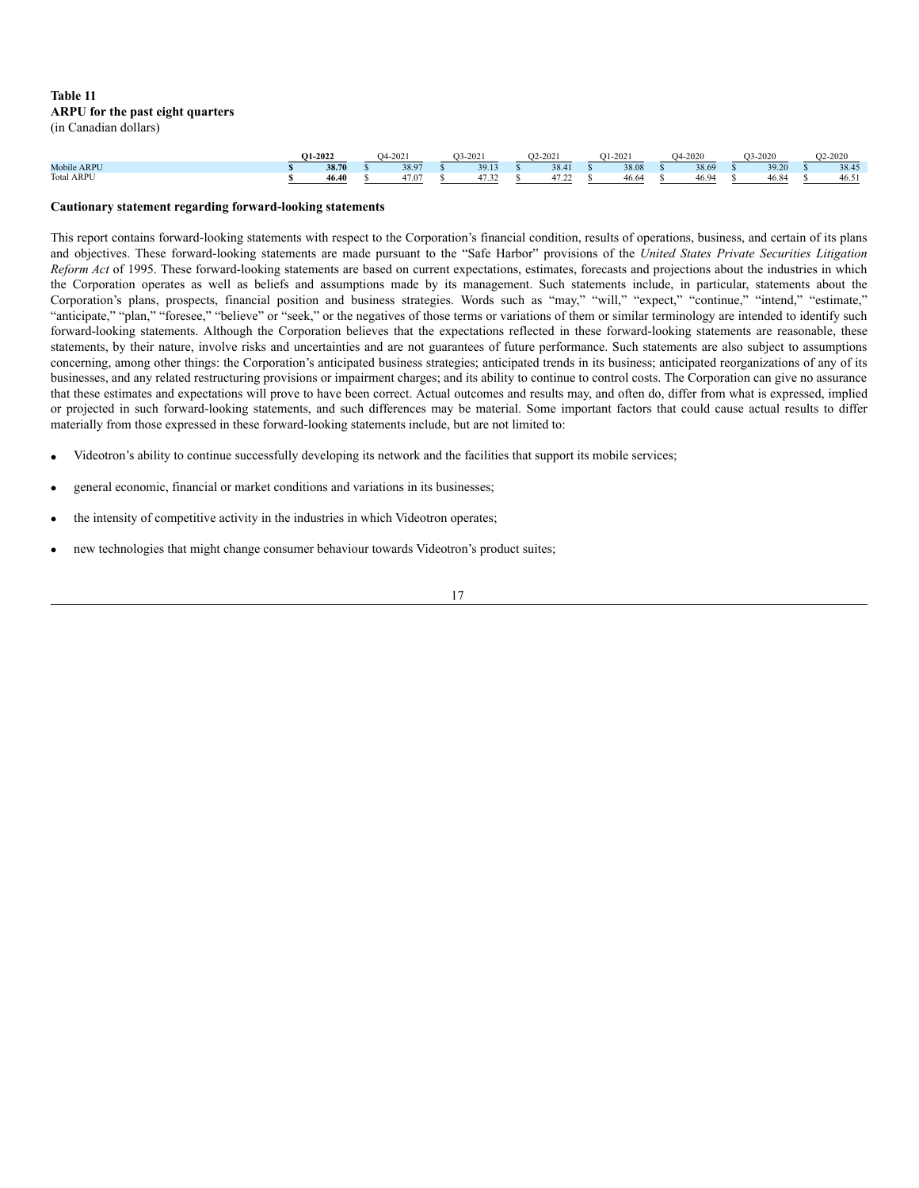## **Table 11 ARPU for the past eight quarters** (in Canadian dollars)

|                   | O1-2022 |       | ገ4. | -2021 | 2021<br>73-    | $O2 - 2021$ | $-202$ | $-2020$<br>אר | 03-2020 | $2 - 2020$ |
|-------------------|---------|-------|-----|-------|----------------|-------------|--------|---------------|---------|------------|
| Mobile ARPU       |         | 38.70 |     | 38.97 | 39.13          | 38.41       | 38.08  | 38.69         | 39.20   | 38.45      |
| <b>Total ARPU</b> |         | 46.40 |     | 7.07  | $\sim$<br>ے ری |             | 46.64  | rv. .         | 6.84    | 46.5       |

#### **Cautionary statement regarding forward-looking statements**

This report contains forward-looking statements with respect to the Corporation's financial condition, results of operations, business, and certain of its plans and objectives. These forward-looking statements are made pursuant to the "Safe Harbor" provisions of the *United States Private Securities Litigation Reform Act* of 1995. These forward-looking statements are based on current expectations, estimates, forecasts and projections about the industries in which the Corporation operates as well as beliefs and assumptions made by its management. Such statements include, in particular, statements about the Corporation's plans, prospects, financial position and business strategies. Words such as "may," "will," "expect," "continue," "intend," "estimate," "anticipate," "plan," "foresee," "believe" or "seek," or the negatives of those terms or variations of them or similar terminology are intended to identify such forward-looking statements. Although the Corporation believes that the expectations reflected in these forward-looking statements are reasonable, these statements, by their nature, involve risks and uncertainties and are not guarantees of future performance. Such statements are also subject to assumptions concerning, among other things: the Corporation's anticipated business strategies; anticipated trends in its business; anticipated reorganizations of any of its businesses, and any related restructuring provisions or impairment charges; and its ability to continue to control costs. The Corporation can give no assurance that these estimates and expectations will prove to have been correct. Actual outcomes and results may, and often do, differ from what is expressed, implied or projected in such forward-looking statements, and such differences may be material. Some important factors that could cause actual results to differ materially from those expressed in these forward-looking statements include, but are not limited to:

- · Videotron's ability to continue successfully developing its network and the facilities that support its mobile services;
- general economic, financial or market conditions and variations in its businesses;
- the intensity of competitive activity in the industries in which Videotron operates;
- new technologies that might change consumer behaviour towards Videotron's product suites;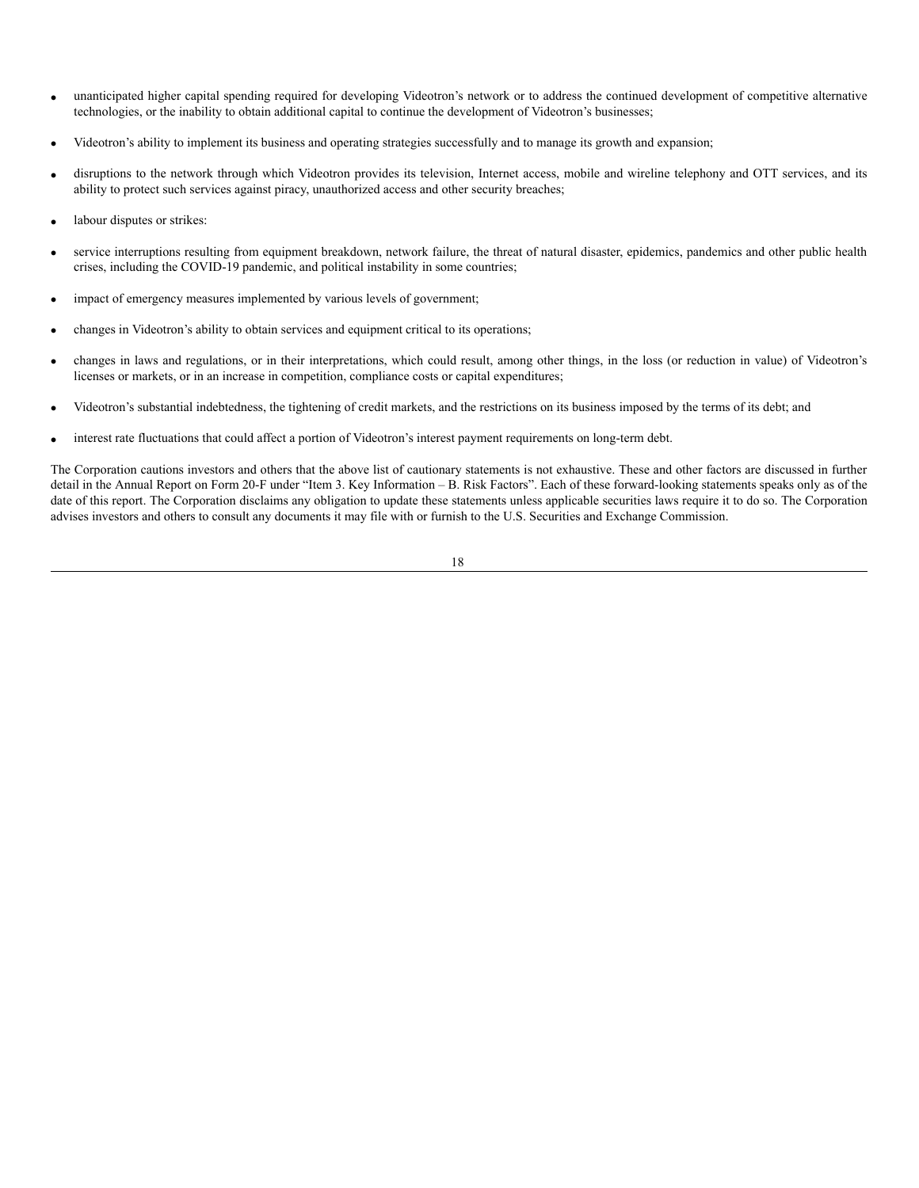- unanticipated higher capital spending required for developing Videotron's network or to address the continued development of competitive alternative technologies, or the inability to obtain additional capital to continue the development of Videotron's businesses;
- · Videotron's ability to implement its business and operating strategies successfully and to manage its growth and expansion;
- disruptions to the network through which Videotron provides its television, Internet access, mobile and wireline telephony and OTT services, and its ability to protect such services against piracy, unauthorized access and other security breaches;
- labour disputes or strikes:
- service interruptions resulting from equipment breakdown, network failure, the threat of natural disaster, epidemics, pandemics and other public health crises, including the COVID-19 pandemic, and political instability in some countries;
- impact of emergency measures implemented by various levels of government;
- changes in Videotron's ability to obtain services and equipment critical to its operations;
- · changes in laws and regulations, or in their interpretations, which could result, among other things, in the loss (or reduction in value) of Videotron's licenses or markets, or in an increase in competition, compliance costs or capital expenditures;
- · Videotron's substantial indebtedness, the tightening of credit markets, and the restrictions on its business imposed by the terms of its debt; and
- interest rate fluctuations that could affect a portion of Videotron's interest payment requirements on long-term debt.

The Corporation cautions investors and others that the above list of cautionary statements is not exhaustive. These and other factors are discussed in further detail in the Annual Report on Form 20-F under "Item 3. Key Information – B. Risk Factors". Each of these forward-looking statements speaks only as of the date of this report. The Corporation disclaims any obligation to update these statements unless applicable securities laws require it to do so. The Corporation advises investors and others to consult any documents it may file with or furnish to the U.S. Securities and Exchange Commission.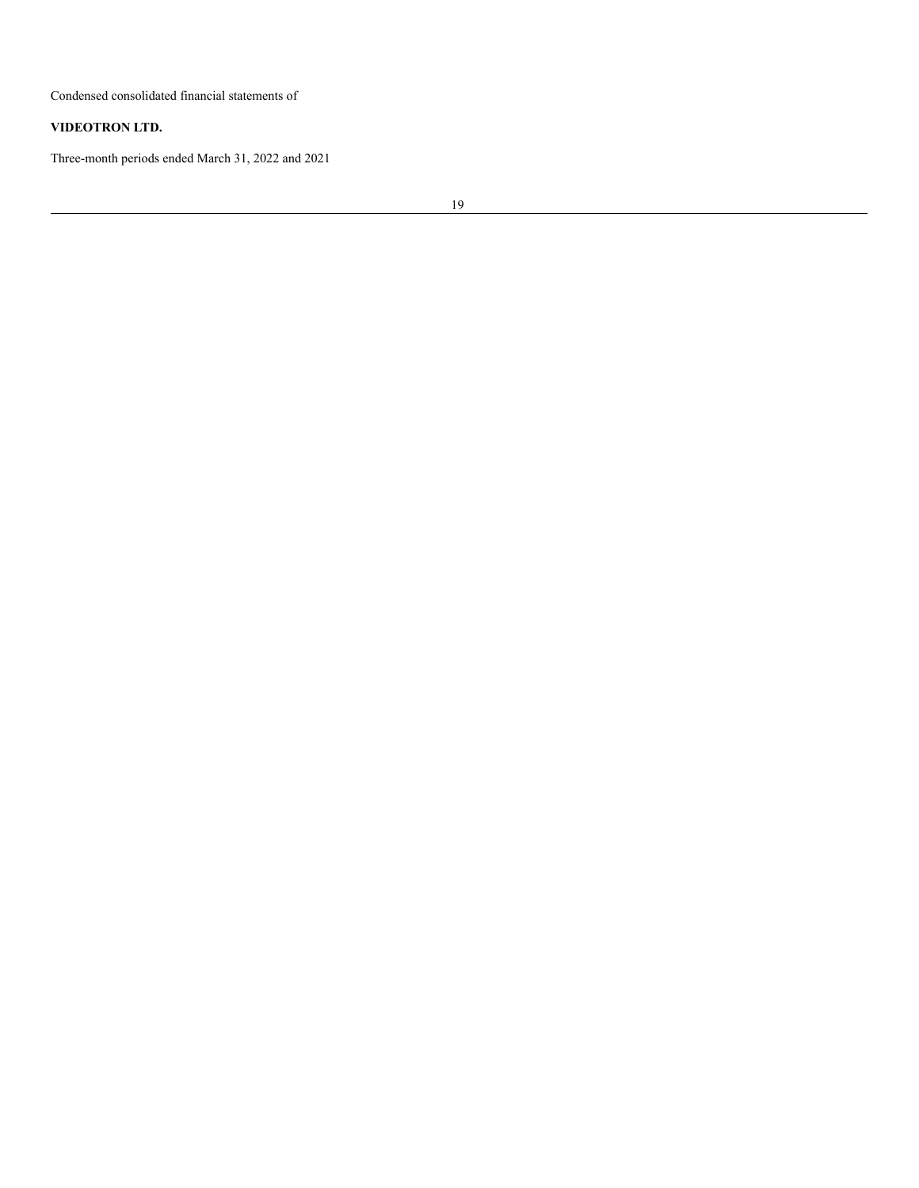Condensed consolidated financial statements of

# **VIDEOTRON LTD.**

Three-month periods ended March 31, 2022 and 2021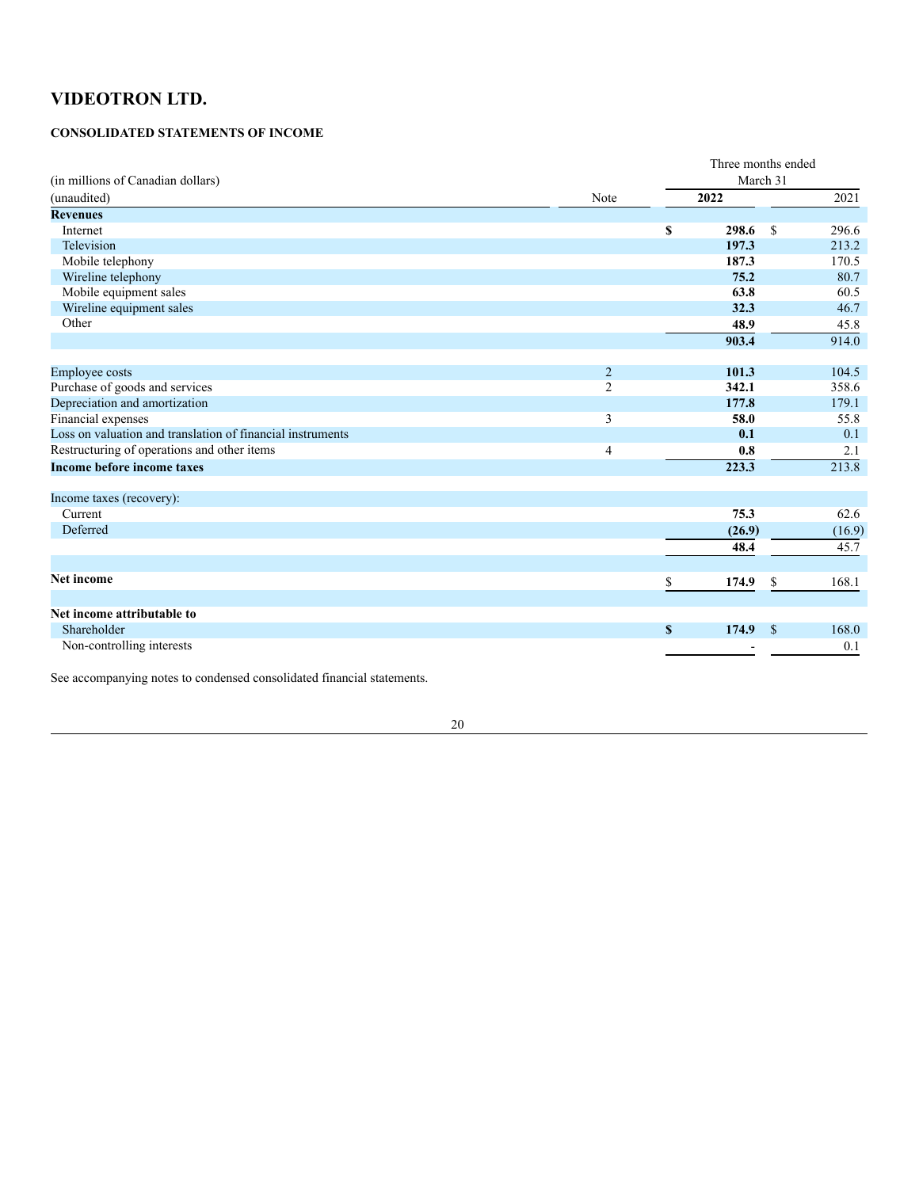# **CONSOLIDATED STATEMENTS OF INCOME**

|                                                            |                | Three months ended |        |               |        |  |  |
|------------------------------------------------------------|----------------|--------------------|--------|---------------|--------|--|--|
| (in millions of Canadian dollars)                          |                | March 31           |        |               |        |  |  |
| (unaudited)                                                | Note           |                    | 2022   |               | 2021   |  |  |
| <b>Revenues</b>                                            |                |                    |        |               |        |  |  |
| Internet                                                   |                | \$                 | 298.6  | <sup>\$</sup> | 296.6  |  |  |
| Television                                                 |                |                    | 197.3  |               | 213.2  |  |  |
| Mobile telephony                                           |                |                    | 187.3  |               | 170.5  |  |  |
| Wireline telephony                                         |                |                    | 75.2   |               | 80.7   |  |  |
| Mobile equipment sales                                     |                |                    | 63.8   |               | 60.5   |  |  |
| Wireline equipment sales                                   |                |                    | 32.3   |               | 46.7   |  |  |
| Other                                                      |                |                    | 48.9   |               | 45.8   |  |  |
|                                                            |                |                    | 903.4  |               | 914.0  |  |  |
|                                                            |                |                    |        |               |        |  |  |
| Employee costs                                             | $\overline{2}$ |                    | 101.3  |               | 104.5  |  |  |
| Purchase of goods and services                             | $\overline{2}$ |                    | 342.1  |               | 358.6  |  |  |
| Depreciation and amortization                              |                |                    | 177.8  |               | 179.1  |  |  |
| Financial expenses                                         | 3              |                    | 58.0   |               | 55.8   |  |  |
| Loss on valuation and translation of financial instruments |                |                    | 0.1    |               | 0.1    |  |  |
| Restructuring of operations and other items                | 4              |                    | 0.8    |               | 2.1    |  |  |
| <b>Income before income taxes</b>                          |                |                    | 223.3  |               | 213.8  |  |  |
|                                                            |                |                    |        |               |        |  |  |
| Income taxes (recovery):<br>Current                        |                |                    | 75.3   |               | 62.6   |  |  |
| Deferred                                                   |                |                    |        |               |        |  |  |
|                                                            |                |                    | (26.9) |               | (16.9) |  |  |
|                                                            |                |                    | 48.4   |               | 45.7   |  |  |
| <b>Net income</b>                                          |                | \$                 | 174.9  | <sup>\$</sup> | 168.1  |  |  |
|                                                            |                |                    |        |               |        |  |  |
| Net income attributable to                                 |                |                    |        |               |        |  |  |
| Shareholder                                                |                | $\mathbf{s}$       | 174.9  | $\mathbf S$   | 168.0  |  |  |
| Non-controlling interests                                  |                |                    |        |               | 0.1    |  |  |
|                                                            |                |                    |        |               |        |  |  |

See accompanying notes to condensed consolidated financial statements.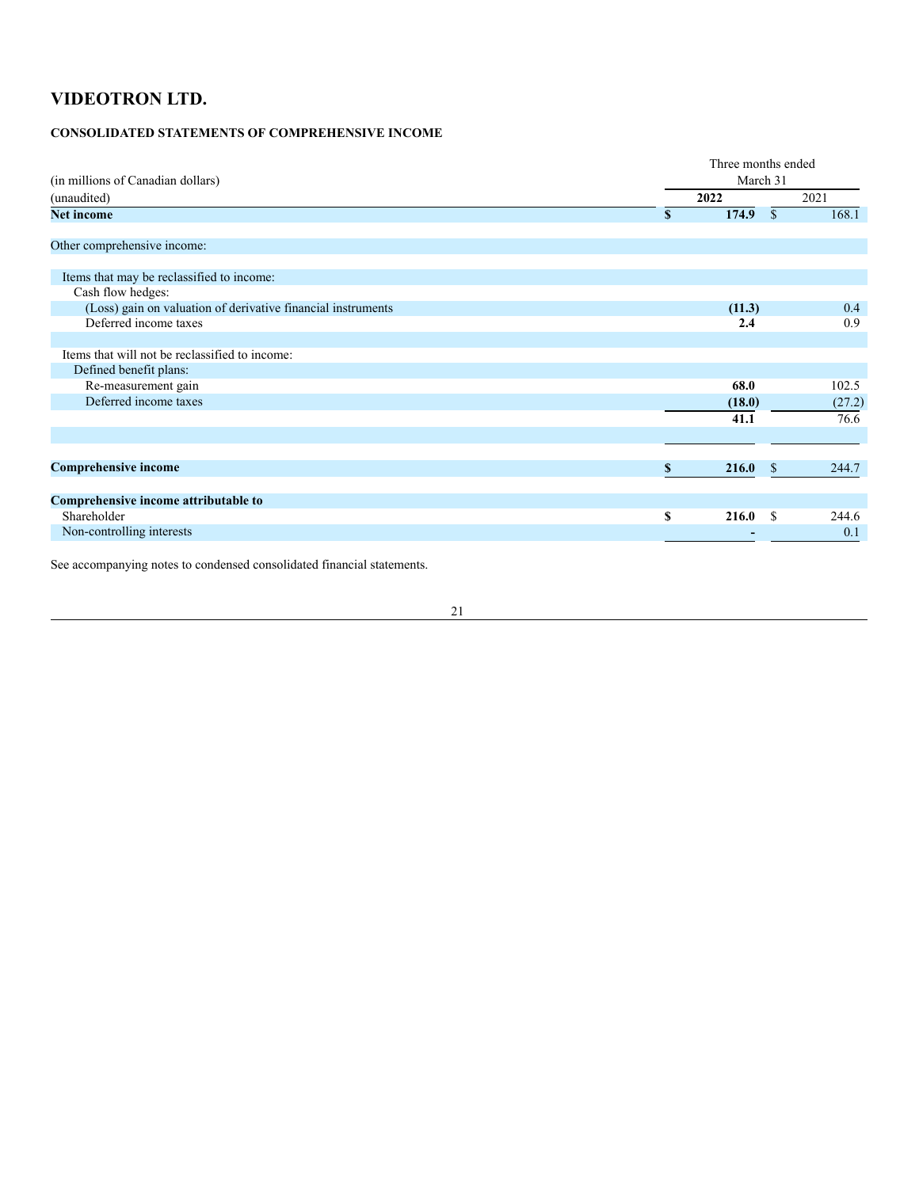# **CONSOLIDATED STATEMENTS OF COMPREHENSIVE INCOME**

|                                                              | Three months ended     |               |        |  |  |  |  |
|--------------------------------------------------------------|------------------------|---------------|--------|--|--|--|--|
| (in millions of Canadian dollars)                            |                        | March 31      |        |  |  |  |  |
| (unaudited)                                                  | 2022                   |               | 2021   |  |  |  |  |
| <b>Net income</b>                                            | 174.9<br><sup>\$</sup> | <sup>\$</sup> | 168.1  |  |  |  |  |
| Other comprehensive income:                                  |                        |               |        |  |  |  |  |
| Items that may be reclassified to income:                    |                        |               |        |  |  |  |  |
| Cash flow hedges:                                            |                        |               |        |  |  |  |  |
| (Loss) gain on valuation of derivative financial instruments | (11.3)                 |               | 0.4    |  |  |  |  |
| Deferred income taxes                                        |                        | 2.4           | 0.9    |  |  |  |  |
|                                                              |                        |               |        |  |  |  |  |
| Items that will not be reclassified to income:               |                        |               |        |  |  |  |  |
| Defined benefit plans:                                       |                        |               |        |  |  |  |  |
| Re-measurement gain                                          | 68.0                   |               | 102.5  |  |  |  |  |
| Deferred income taxes                                        | (18.0)                 |               | (27.2) |  |  |  |  |
|                                                              | 41.1                   |               | 76.6   |  |  |  |  |
|                                                              |                        |               |        |  |  |  |  |
| <b>Comprehensive income</b>                                  | 216.0<br>\$            | -S            | 244.7  |  |  |  |  |
|                                                              |                        |               |        |  |  |  |  |
| Comprehensive income attributable to                         |                        |               |        |  |  |  |  |
| Shareholder                                                  | S<br>216.0             | -S            | 244.6  |  |  |  |  |
| Non-controlling interests                                    |                        |               | 0.1    |  |  |  |  |
|                                                              |                        |               |        |  |  |  |  |

See accompanying notes to condensed consolidated financial statements.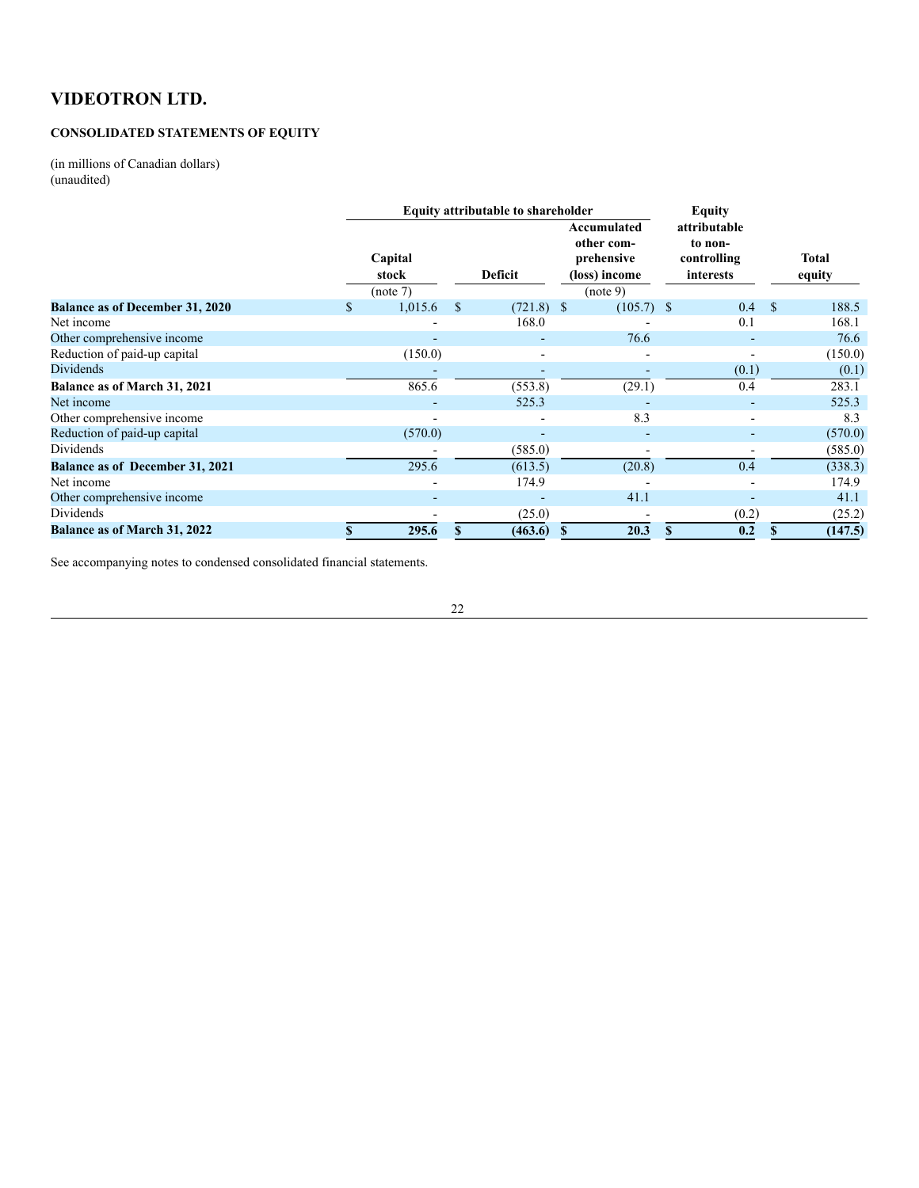# **CONSOLIDATED STATEMENTS OF EQUITY**

(in millions of Canadian dollars) (unaudited)

|                                        | <b>Equity attributable to shareholder</b> |     |              |                                                                      | <b>Equity</b>                                       |               |                 |
|----------------------------------------|-------------------------------------------|-----|--------------|----------------------------------------------------------------------|-----------------------------------------------------|---------------|-----------------|
|                                        | Capital<br>stock<br>(note 7)              |     | Deficit      | Accumulated<br>other com-<br>prehensive<br>(loss) income<br>(note 9) | attributable<br>to non-<br>controlling<br>interests |               | Total<br>equity |
| <b>Balance as of December 31, 2020</b> | \$<br>1,015.6                             | \$. | $(721.8)$ \$ | $(105.7)$ \$                                                         | 0.4                                                 | <sup>\$</sup> | 188.5           |
| Net income                             |                                           |     | 168.0        |                                                                      | 0.1                                                 |               | 168.1           |
| Other comprehensive income             |                                           |     |              | 76.6                                                                 | $\overline{\phantom{a}}$                            |               | 76.6            |
| Reduction of paid-up capital           | (150.0)                                   |     |              |                                                                      |                                                     |               | (150.0)         |
| <b>Dividends</b>                       |                                           |     |              |                                                                      | (0.1)                                               |               | (0.1)           |
| Balance as of March 31, 2021           | 865.6                                     |     | (553.8)      | (29.1)                                                               | 0.4                                                 |               | 283.1           |
| Net income                             |                                           |     | 525.3        |                                                                      |                                                     |               | 525.3           |
| Other comprehensive income             |                                           |     |              | 8.3                                                                  |                                                     |               | 8.3             |
| Reduction of paid-up capital           | (570.0)                                   |     | ۰            |                                                                      |                                                     |               | (570.0)         |
| Dividends                              |                                           |     | (585.0)      |                                                                      |                                                     |               | (585.0)         |
| <b>Balance as of December 31, 2021</b> | 295.6                                     |     | (613.5)      | (20.8)                                                               | 0.4                                                 |               | (338.3)         |
| Net income                             |                                           |     | 174.9        |                                                                      | $\overline{\phantom{0}}$                            |               | 174.9           |
| Other comprehensive income             |                                           |     |              | 41.1                                                                 |                                                     |               | 41.1            |
| Dividends                              |                                           |     | (25.0)       |                                                                      | (0.2)                                               |               | (25.2)          |
| <b>Balance as of March 31, 2022</b>    | 295.6                                     | \$  | (463.6)      | 20.3<br>\$                                                           | 0.2                                                 | S             | (147.5)         |

See accompanying notes to condensed consolidated financial statements.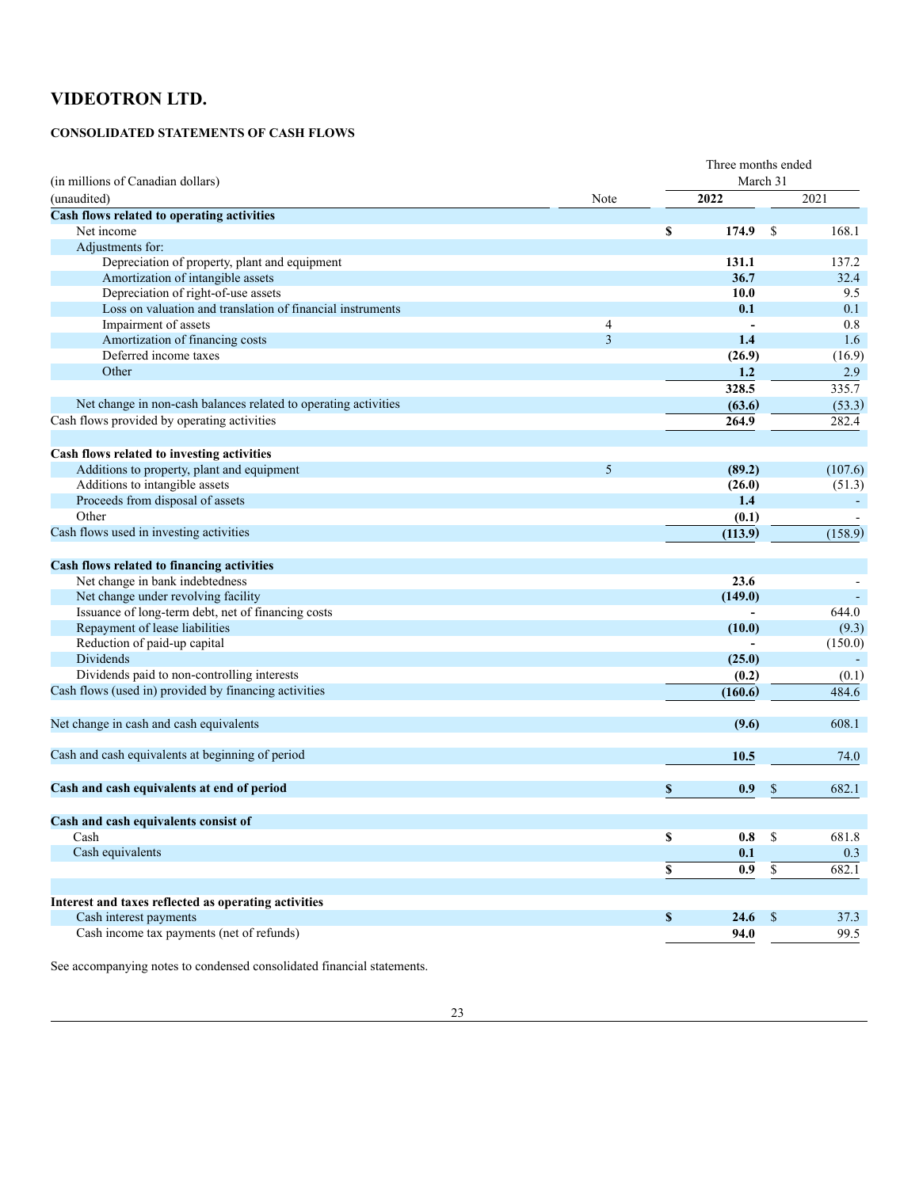# **CONSOLIDATED STATEMENTS OF CASH FLOWS**

|                                                                 |                | Three months ended |                  |                 |         |  |  |
|-----------------------------------------------------------------|----------------|--------------------|------------------|-----------------|---------|--|--|
| (in millions of Canadian dollars)                               |                |                    | March 31         |                 |         |  |  |
| (unaudited)                                                     | Note           |                    | 2022             |                 | 2021    |  |  |
| Cash flows related to operating activities                      |                |                    |                  |                 |         |  |  |
| Net income                                                      |                | \$                 | 174.9            | S               | 168.1   |  |  |
| Adjustments for:                                                |                |                    |                  |                 |         |  |  |
| Depreciation of property, plant and equipment                   |                |                    | 131.1            |                 | 137.2   |  |  |
| Amortization of intangible assets                               |                |                    | 36.7             |                 | 32.4    |  |  |
| Depreciation of right-of-use assets                             |                |                    | 10.0             |                 | 9.5     |  |  |
| Loss on valuation and translation of financial instruments      |                |                    | 0.1              |                 | 0.1     |  |  |
| Impairment of assets                                            | 4              |                    |                  |                 | 0.8     |  |  |
| Amortization of financing costs                                 | $\overline{3}$ |                    | 1.4              |                 | 1.6     |  |  |
| Deferred income taxes                                           |                |                    | (26.9)           |                 | (16.9)  |  |  |
| Other                                                           |                |                    | 1.2              |                 | 2.9     |  |  |
|                                                                 |                |                    | 328.5            |                 | 335.7   |  |  |
| Net change in non-cash balances related to operating activities |                |                    | (63.6)           |                 | (53.3)  |  |  |
| Cash flows provided by operating activities                     |                |                    | 264.9            |                 | 282.4   |  |  |
|                                                                 |                |                    |                  |                 |         |  |  |
| Cash flows related to investing activities                      |                |                    |                  |                 |         |  |  |
| Additions to property, plant and equipment                      | 5              |                    | (89.2)           |                 | (107.6) |  |  |
| Additions to intangible assets                                  |                |                    | (26.0)           |                 | (51.3)  |  |  |
| Proceeds from disposal of assets                                |                |                    | 1.4              |                 |         |  |  |
| Other                                                           |                |                    | (0.1)            |                 |         |  |  |
| Cash flows used in investing activities                         |                |                    | (113.9)          |                 | (158.9) |  |  |
|                                                                 |                |                    |                  |                 |         |  |  |
| Cash flows related to financing activities                      |                |                    |                  |                 |         |  |  |
| Net change in bank indebtedness                                 |                |                    | 23.6             |                 |         |  |  |
| Net change under revolving facility                             |                |                    | (149.0)          |                 |         |  |  |
| Issuance of long-term debt, net of financing costs              |                |                    |                  |                 | 644.0   |  |  |
| Repayment of lease liabilities                                  |                |                    | (10.0)           |                 | (9.3)   |  |  |
| Reduction of paid-up capital                                    |                |                    |                  |                 | (150.0) |  |  |
| Dividends                                                       |                |                    | (25.0)           |                 |         |  |  |
| Dividends paid to non-controlling interests                     |                |                    | (0.2)            |                 | (0.1)   |  |  |
| Cash flows (used in) provided by financing activities           |                |                    | (160.6)          |                 | 484.6   |  |  |
|                                                                 |                |                    |                  |                 |         |  |  |
| Net change in cash and cash equivalents                         |                |                    | (9.6)            |                 | 608.1   |  |  |
|                                                                 |                |                    |                  |                 |         |  |  |
| Cash and cash equivalents at beginning of period                |                |                    | 10.5             |                 | 74.0    |  |  |
|                                                                 |                |                    |                  |                 |         |  |  |
| Cash and cash equivalents at end of period                      |                | \$                 | 0.9              | \$              | 682.1   |  |  |
|                                                                 |                |                    |                  |                 |         |  |  |
| Cash and cash equivalents consist of                            |                |                    |                  |                 |         |  |  |
| Cash                                                            |                | \$                 | $0.8\,$          | $\mathbb S$     | 681.8   |  |  |
| Cash equivalents                                                |                |                    | 0.1              |                 | 0.3     |  |  |
|                                                                 |                | \$                 | $\overline{0.9}$ | $\overline{\$}$ | 682.1   |  |  |
|                                                                 |                |                    |                  |                 |         |  |  |
| Interest and taxes reflected as operating activities            |                |                    |                  |                 |         |  |  |
| Cash interest payments                                          |                | \$                 | 24.6             | $\mathbb{S}$    | 37.3    |  |  |
| Cash income tax payments (net of refunds)                       |                |                    | 94.0             |                 | 99.5    |  |  |
|                                                                 |                |                    |                  |                 |         |  |  |

See accompanying notes to condensed consolidated financial statements.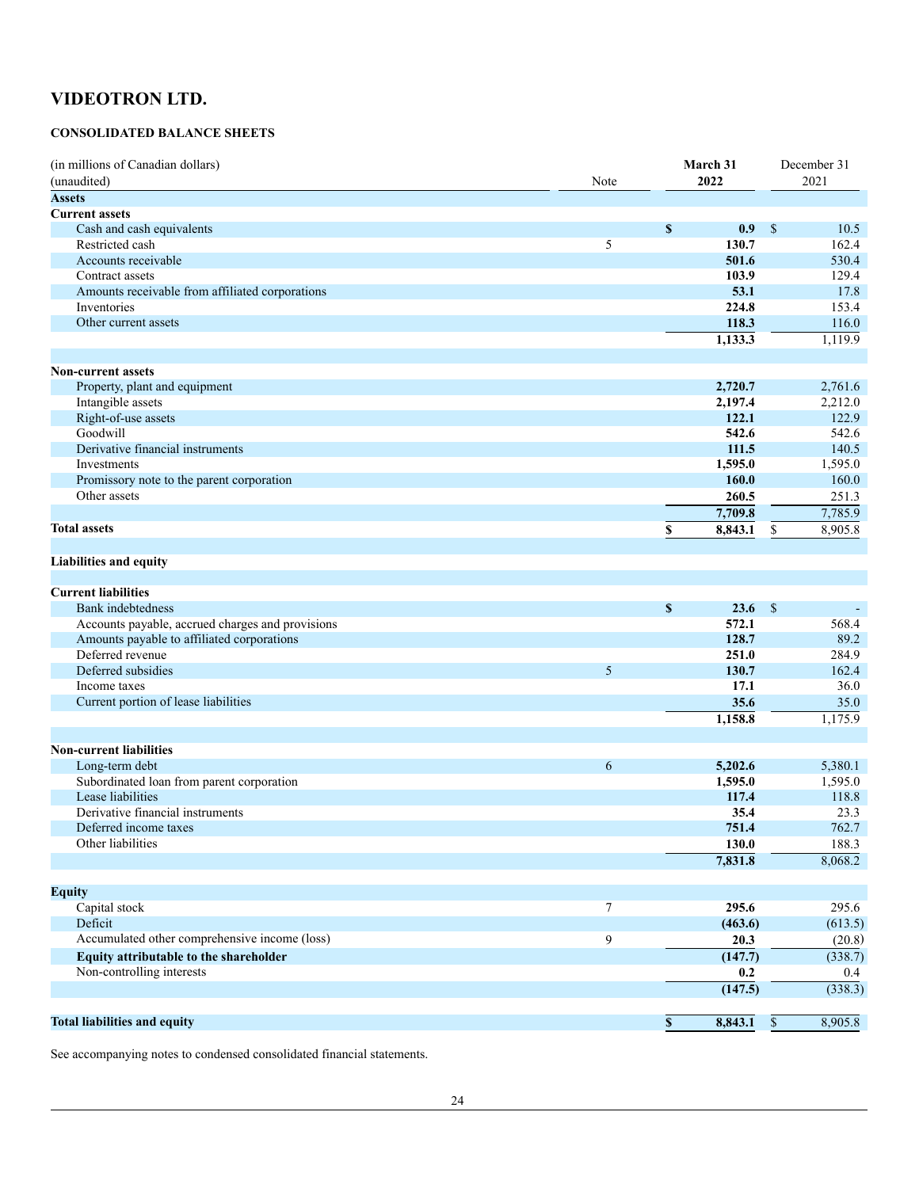# **CONSOLIDATED BALANCE SHEETS**

| (in millions of Canadian dollars)                     | March 31 |             |               |              | December 31        |  |
|-------------------------------------------------------|----------|-------------|---------------|--------------|--------------------|--|
| (unaudited)                                           | Note     | 2022        |               |              | 2021               |  |
| <b>Assets</b>                                         |          |             |               |              |                    |  |
| <b>Current assets</b>                                 |          |             |               |              |                    |  |
| Cash and cash equivalents                             |          | \$          | 0.9           | \$           | 10.5               |  |
| Restricted cash                                       | 5        |             | 130.7         |              | 162.4              |  |
| Accounts receivable                                   |          |             | 501.6         |              | 530.4              |  |
| Contract assets                                       |          |             | 103.9         |              | 129.4              |  |
| Amounts receivable from affiliated corporations       |          |             | 53.1          |              | 17.8               |  |
| Inventories                                           |          |             | 224.8         |              | 153.4              |  |
| Other current assets                                  |          |             | 118.3         |              | 116.0              |  |
|                                                       |          |             | 1,133.3       |              | 1,119.9            |  |
|                                                       |          |             |               |              |                    |  |
| <b>Non-current assets</b>                             |          |             |               |              |                    |  |
| Property, plant and equipment                         |          |             | 2,720.7       |              | 2,761.6            |  |
| Intangible assets                                     |          |             | 2,197.4       |              | 2,212.0            |  |
| Right-of-use assets                                   |          |             | 122.1         |              | 122.9              |  |
| Goodwill                                              |          |             | 542.6         |              | 542.6              |  |
| Derivative financial instruments                      |          |             | 111.5         |              | 140.5              |  |
| Investments                                           |          |             | 1,595.0       |              | 1,595.0            |  |
| Promissory note to the parent corporation             |          |             | 160.0         |              | 160.0              |  |
| Other assets                                          |          |             | 260.5         |              | 251.3              |  |
|                                                       |          |             | 7,709.8       |              | 7,785.9            |  |
| <b>Total assets</b>                                   |          | \$          | 8,843.1       | \$           | 8,905.8            |  |
|                                                       |          |             |               |              |                    |  |
| <b>Liabilities and equity</b>                         |          |             |               |              |                    |  |
|                                                       |          |             |               |              |                    |  |
| <b>Current liabilities</b>                            |          |             |               |              |                    |  |
| <b>Bank</b> indebtedness                              |          | \$          | 23.6          | $\mathbb{S}$ |                    |  |
| Accounts payable, accrued charges and provisions      |          |             | 572.1         |              | 568.4              |  |
| Amounts payable to affiliated corporations            |          |             | 128.7         |              | 89.2               |  |
| Deferred revenue                                      |          |             | 251.0         |              | 284.9              |  |
| Deferred subsidies                                    | 5        |             | 130.7         |              | 162.4              |  |
| Income taxes                                          |          |             | 17.1          |              | 36.0               |  |
| Current portion of lease liabilities                  |          |             | 35.6          |              | 35.0               |  |
|                                                       |          |             | 1,158.8       |              | 1,175.9            |  |
|                                                       |          |             |               |              |                    |  |
| <b>Non-current liabilities</b>                        |          |             |               |              |                    |  |
|                                                       | 6        |             |               |              |                    |  |
| Long-term debt                                        |          |             | 5,202.6       |              | 5,380.1<br>1,595.0 |  |
| Subordinated loan from parent corporation             |          |             | 1,595.0       |              |                    |  |
| Lease liabilities<br>Derivative financial instruments |          |             | 117.4<br>35.4 |              | 118.8              |  |
|                                                       |          |             |               |              | 23.3               |  |
| Deferred income taxes<br>Other liabilities            |          |             | 751.4         |              | 762.7              |  |
|                                                       |          |             | 130.0         |              | 188.3              |  |
|                                                       |          |             | 7,831.8       |              | 8,068.2            |  |
|                                                       |          |             |               |              |                    |  |
| <b>Equity</b>                                         |          |             |               |              |                    |  |
| Capital stock                                         | 7        |             | 295.6         |              | 295.6              |  |
| Deficit                                               |          |             | (463.6)       |              | (613.5)            |  |
| Accumulated other comprehensive income (loss)         | 9        |             | 20.3          |              | (20.8)             |  |
| Equity attributable to the shareholder                |          |             | (147.7)       |              | (338.7)            |  |
| Non-controlling interests                             |          |             | 0.2           |              | 0.4                |  |
|                                                       |          |             | (147.5)       |              | (338.3)            |  |
|                                                       |          |             |               |              |                    |  |
| <b>Total liabilities and equity</b>                   |          | $\mathbb S$ | 8,843.1       | $\mathbb{S}$ | 8,905.8            |  |

See accompanying notes to condensed consolidated financial statements.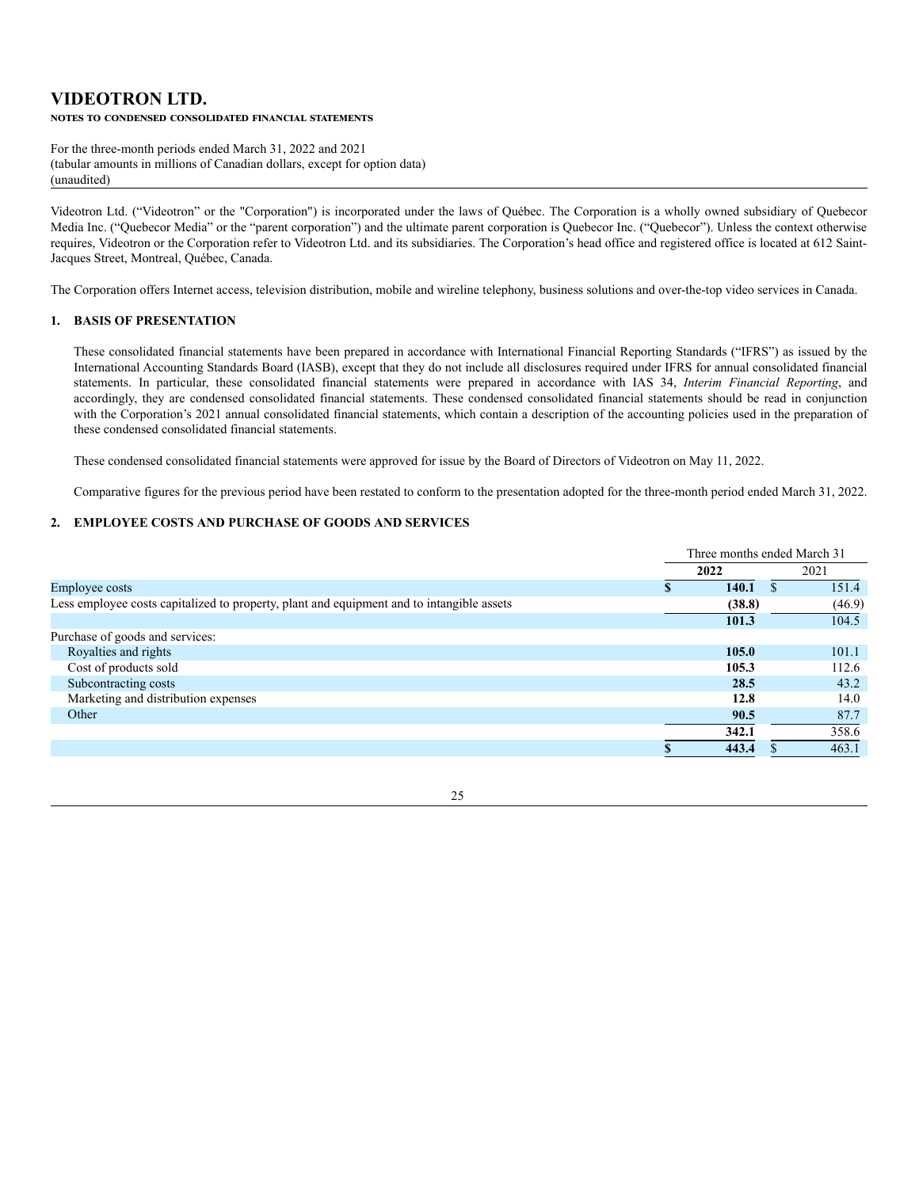# **VIDEOTRON LTD.** NOTES TO CONDENSED CONSOLIDATED FINANCIAL STATEMENTS

For the three-month periods ended March 31, 2022 and 2021 (tabular amounts in millions of Canadian dollars, except for option data) (unaudited)

Videotron Ltd. ("Videotron" or the "Corporation") is incorporated under the laws of Québec. The Corporation is a wholly owned subsidiary of Quebecor Media Inc. ("Quebecor Media" or the "parent corporation") and the ultimate parent corporation is Quebecor Inc. ("Quebecor"). Unless the context otherwise requires, Videotron or the Corporation refer to Videotron Ltd. and its subsidiaries. The Corporation's head office and registered office is located at 612 Saint-Jacques Street, Montreal, Québec, Canada.

The Corporation offers Internet access, television distribution, mobile and wireline telephony, business solutions and over-the-top video services in Canada.

# **1. BASIS OF PRESENTATION**

These consolidated financial statements have been prepared in accordance with International Financial Reporting Standards ("IFRS") as issued by the International Accounting Standards Board (IASB), except that they do not include all disclosures required under IFRS for annual consolidated financial statements. In particular, these consolidated financial statements were prepared in accordance with IAS 34, *Interim Financial Reporting*, and accordingly, they are condensed consolidated financial statements. These condensed consolidated financial statements should be read in conjunction with the Corporation's 2021 annual consolidated financial statements, which contain a description of the accounting policies used in the preparation of these condensed consolidated financial statements.

These condensed consolidated financial statements were approved for issue by the Board of Directors of Videotron on May 11, 2022.

Comparative figures for the previous period have been restated to conform to the presentation adopted for the three-month period ended March 31, 2022.

# **2. EMPLOYEE COSTS AND PURCHASE OF GOODS AND SERVICES**

|                                                                                           | Three months ended March 31 |  |        |  |
|-------------------------------------------------------------------------------------------|-----------------------------|--|--------|--|
|                                                                                           | 2022                        |  | 2021   |  |
| Employee costs                                                                            | 140.1                       |  | 151.4  |  |
| Less employee costs capitalized to property, plant and equipment and to intangible assets | (38.8)                      |  | (46.9) |  |
|                                                                                           | 101.3                       |  | 104.5  |  |
| Purchase of goods and services:                                                           |                             |  |        |  |
| Royalties and rights                                                                      | 105.0                       |  | 101.1  |  |
| Cost of products sold                                                                     | 105.3                       |  | 112.6  |  |
| Subcontracting costs                                                                      | 28.5                        |  | 43.2   |  |
| Marketing and distribution expenses                                                       | 12.8                        |  | 14.0   |  |
| Other                                                                                     | 90.5                        |  | 87.7   |  |
|                                                                                           | 342.1                       |  | 358.6  |  |
|                                                                                           | 443.4                       |  | 463.1  |  |

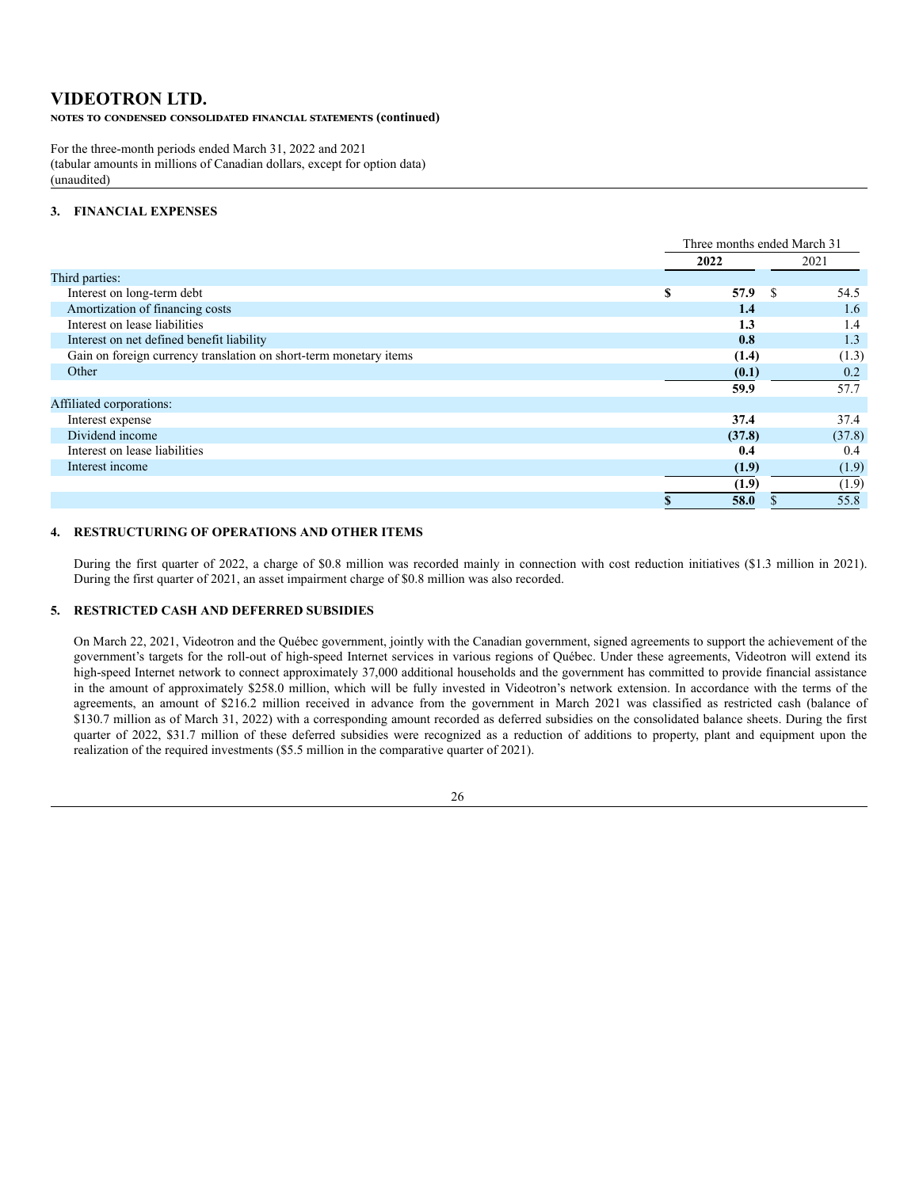**NOTES TO CONDENSED CONSOLIDATED FINANCIAL STATEMENTS (continued)** 

For the three-month periods ended March 31, 2022 and 2021 (tabular amounts in millions of Canadian dollars, except for option data) (unaudited)

# **3. FINANCIAL EXPENSES**

|                                                                   |   | Three months ended March 31 |        |  |  |
|-------------------------------------------------------------------|---|-----------------------------|--------|--|--|
|                                                                   |   | 2022                        | 2021   |  |  |
| Third parties:                                                    |   |                             |        |  |  |
| Interest on long-term debt                                        | S | 57.9<br>-S                  | 54.5   |  |  |
| Amortization of financing costs                                   |   | 1.4                         | 1.6    |  |  |
| Interest on lease liabilities                                     |   | 1.3                         | 1.4    |  |  |
| Interest on net defined benefit liability                         |   | 0.8                         | 1.3    |  |  |
| Gain on foreign currency translation on short-term monetary items |   | (1.4)                       | (1.3)  |  |  |
| Other                                                             |   | (0.1)                       | 0.2    |  |  |
|                                                                   |   | 59.9                        | 57.7   |  |  |
| Affiliated corporations:                                          |   |                             |        |  |  |
| Interest expense                                                  |   | 37.4                        | 37.4   |  |  |
| Dividend income                                                   |   | (37.8)                      | (37.8) |  |  |
| Interest on lease liabilities                                     |   | 0.4                         | 0.4    |  |  |
| Interest income                                                   |   | (1.9)                       | (1.9)  |  |  |
|                                                                   |   | (1.9)                       | (1.9)  |  |  |
|                                                                   |   | 58.0                        | 55.8   |  |  |
|                                                                   |   |                             |        |  |  |

# **4. RESTRUCTURING OF OPERATIONS AND OTHER ITEMS**

During the first quarter of 2022, a charge of \$0.8 million was recorded mainly in connection with cost reduction initiatives (\$1.3 million in 2021). During the first quarter of 2021, an asset impairment charge of \$0.8 million was also recorded.

## **5. RESTRICTED CASH AND DEFERRED SUBSIDIES**

On March 22, 2021, Videotron and the Québec government, jointly with the Canadian government, signed agreements to support the achievement of the government's targets for the roll-out of high-speed Internet services in various regions of Québec. Under these agreements, Videotron will extend its high-speed Internet network to connect approximately 37,000 additional households and the government has committed to provide financial assistance in the amount of approximately \$258.0 million, which will be fully invested in Videotron's network extension. In accordance with the terms of the agreements, an amount of \$216.2 million received in advance from the government in March 2021 was classified as restricted cash (balance of \$130.7 million as of March 31, 2022) with a corresponding amount recorded as deferred subsidies on the consolidated balance sheets. During the first quarter of 2022, \$31.7 million of these deferred subsidies were recognized as a reduction of additions to property, plant and equipment upon the realization of the required investments (\$5.5 million in the comparative quarter of 2021).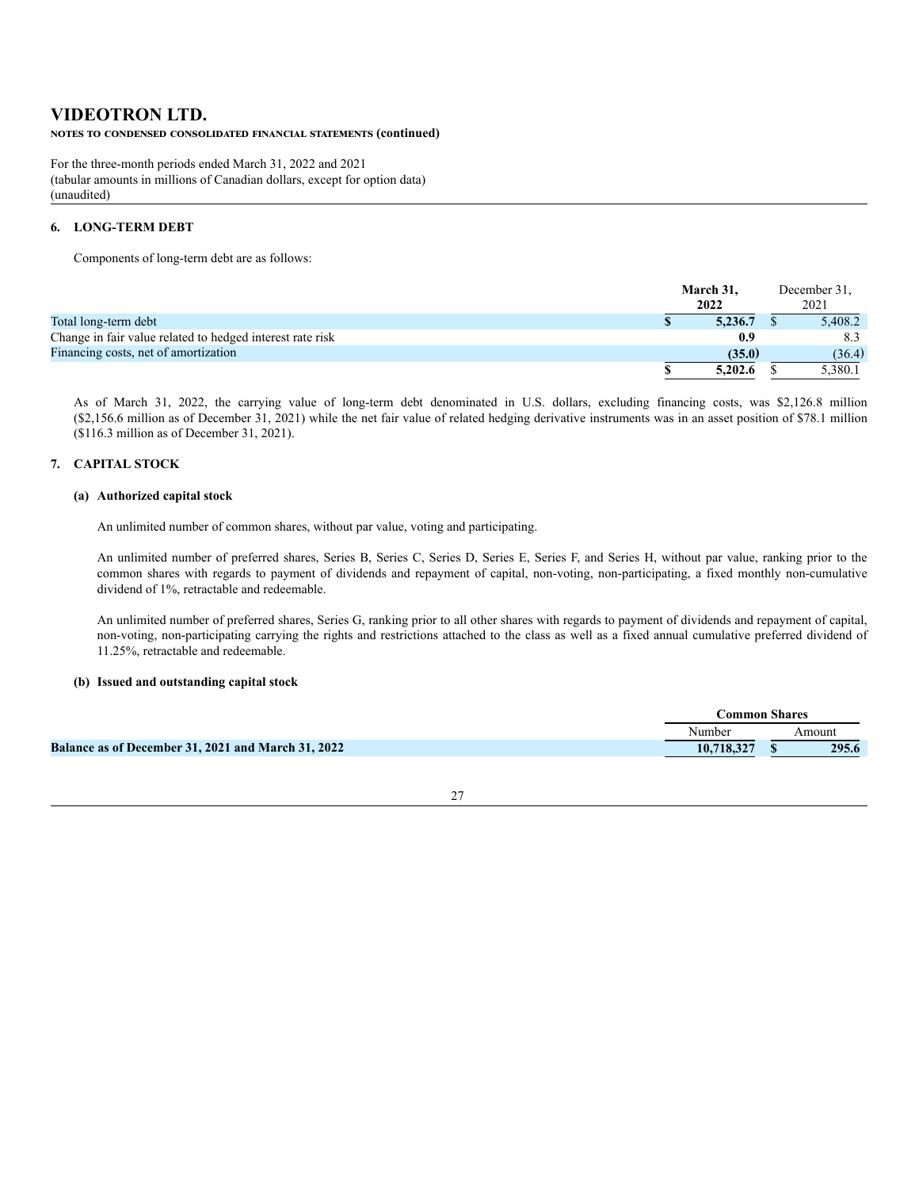### NOTES TO CONDENSED CONSOLIDATED FINANCIAL STATEMENTS (continued)

For the three-month periods ended March 31, 2022 and 2021 (tabular amounts in millions of Canadian dollars, except for option data) (unaudited)

# **6. LONG-TERM DEBT**

Components of long-term debt are as follows:

|                                                           | March 31. | December 31, |         |
|-----------------------------------------------------------|-----------|--------------|---------|
|                                                           | 2022      | 2021         |         |
| Total long-term debt                                      | 5.236.7   |              | 5.408.2 |
| Change in fair value related to hedged interest rate risk | 0.9       |              | 8.3     |
| Financing costs, net of amortization                      | (35.0)    |              | (36.4)  |
|                                                           | 5,202.6   |              | 5,380.1 |

As of March 31, 2022, the carrying value of long-term debt denominated in U.S. dollars, excluding financing costs, was \$2,126.8 million (\$2,156.6 million as of December 31, 2021) while the net fair value of related hedging derivative instruments was in an asset position of \$78.1 million (\$116.3 million as of December 31, 2021).

## **7. CAPITAL STOCK**

## **(a) Authorized capital stock**

An unlimited number of common shares, without par value, voting and participating.

An unlimited number of preferred shares, Series B, Series C, Series D, Series E, Series F, and Series H, without par value, ranking prior to the common shares with regards to payment of dividends and repayment of capital, non-voting, non-participating, a fixed monthly non-cumulative dividend of 1%, retractable and redeemable.

An unlimited number of preferred shares, Series G, ranking prior to all other shares with regards to payment of dividends and repayment of capital, non-voting, non-participating carrying the rights and restrictions attached to the class as well as a fixed annual cumulative preferred dividend of 11.25%, retractable and redeemable.

## **(b) Issued and outstanding capital stock**

|                                                    | <b>Common Shares</b> |               |
|----------------------------------------------------|----------------------|---------------|
|                                                    | Number               | <b>Amount</b> |
| Balance as of December 31, 2021 and March 31, 2022 | 10,718,327           | 295.6         |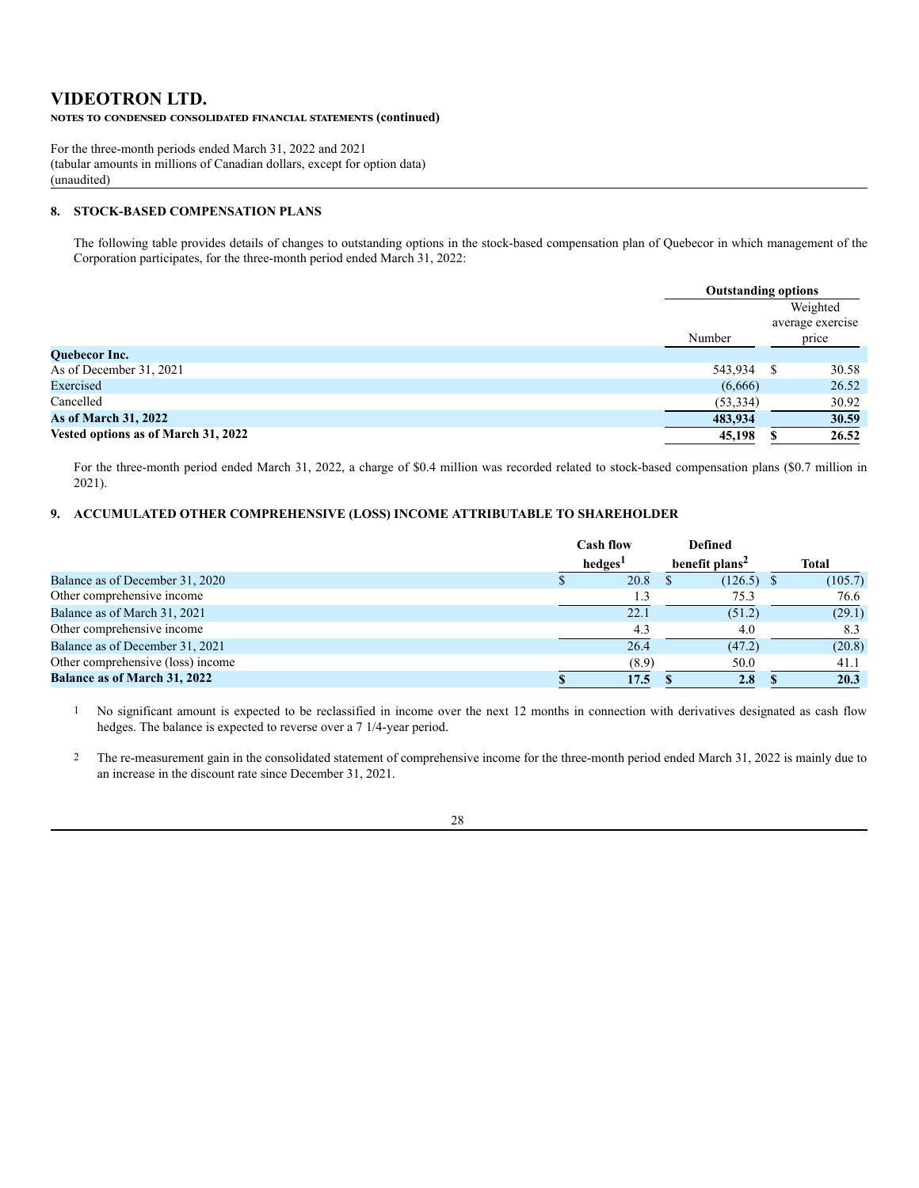**NOTES TO CONDENSED CONSOLIDATED FINANCIAL STATEMENTS (continued)** 

For the three-month periods ended March 31, 2022 and 2021 (tabular amounts in millions of Canadian dollars, except for option data) (unaudited)

# **8. STOCK-BASED COMPENSATION PLANS**

The following table provides details of changes to outstanding options in the stock-based compensation plan of Quebecor in which management of the Corporation participates, for the three-month period ended March 31, 2022:

|                                     | <b>Outstanding options</b> |   |                                       |  |  |
|-------------------------------------|----------------------------|---|---------------------------------------|--|--|
|                                     | Number                     |   | Weighted<br>average exercise<br>price |  |  |
| Quebecor Inc.                       |                            |   |                                       |  |  |
| As of December 31, 2021             | 543,934                    | S | 30.58                                 |  |  |
| Exercised                           | (6,666)                    |   | 26.52                                 |  |  |
| Cancelled                           | (53, 334)                  |   | 30.92                                 |  |  |
| <b>As of March 31, 2022</b>         | 483,934                    |   | 30.59                                 |  |  |
| Vested options as of March 31, 2022 | 45,198                     |   | 26.52                                 |  |  |

For the three-month period ended March 31, 2022, a charge of \$0.4 million was recorded related to stock-based compensation plans (\$0.7 million in 2021).

# **9. ACCUMULATED OTHER COMPREHENSIVE (LOSS) INCOME ATTRIBUTABLE TO SHAREHOLDER**

|                                     | <b>Cash flow</b> |                     |                            |              |  |  | <b>Defined</b> |  |
|-------------------------------------|------------------|---------------------|----------------------------|--------------|--|--|----------------|--|
|                                     |                  | hedges <sup>1</sup> | benefit plans <sup>2</sup> | <b>Total</b> |  |  |                |  |
| Balance as of December 31, 2020     |                  | 20.8                | (126.5)                    | (105.7)      |  |  |                |  |
| Other comprehensive income          |                  |                     | 75.3                       | 76.6         |  |  |                |  |
| Balance as of March 31, 2021        |                  | 22.1                | (51.2)                     | (29.1)       |  |  |                |  |
| Other comprehensive income          |                  | 4.3                 | 4.0                        | 8.3          |  |  |                |  |
| Balance as of December 31, 2021     |                  | 26.4                | (47.2)                     | (20.8)       |  |  |                |  |
| Other comprehensive (loss) income   |                  | (8.9)               | 50.0                       | 41.1         |  |  |                |  |
| <b>Balance as of March 31, 2022</b> |                  | 17.5                | 2.8                        | 20.3         |  |  |                |  |

1 No significant amount is expected to be reclassified in income over the next 12 months in connection with derivatives designated as cash flow hedges. The balance is expected to reverse over a 7 1/4-year period.

2 The re-measurement gain in the consolidated statement of comprehensive income for the three-month period ended March 31, 2022 is mainly due to an increase in the discount rate since December 31, 2021.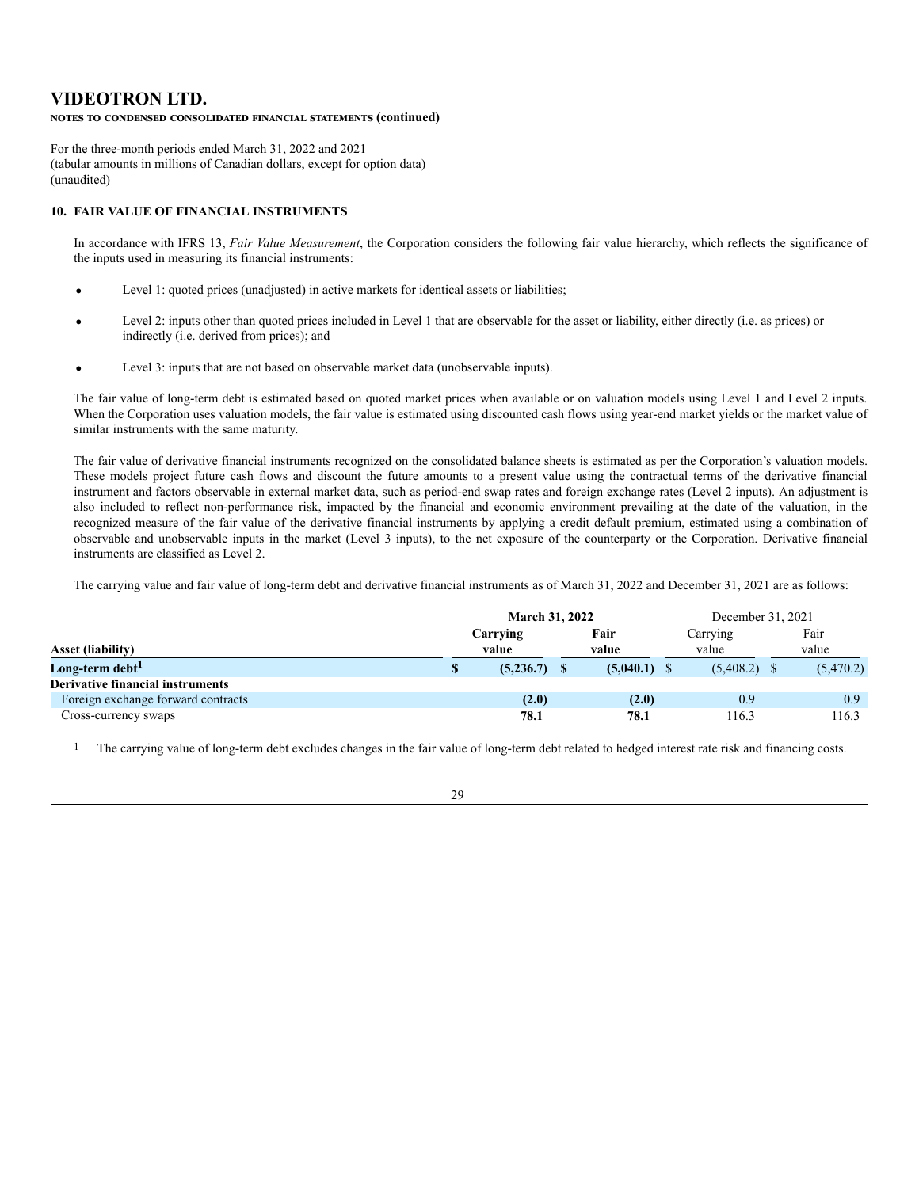# **VIDEOTRON LTD. NOTES TO CONDENSED CONSOLIDATED FINANCIAL STATEMENTS (continued)**

For the three-month periods ended March 31, 2022 and 2021 (tabular amounts in millions of Canadian dollars, except for option data) (unaudited)

# **10. FAIR VALUE OF FINANCIAL INSTRUMENTS**

In accordance with IFRS 13, *Fair Value Measurement*, the Corporation considers the following fair value hierarchy, which reflects the significance of the inputs used in measuring its financial instruments:

- Level 1: quoted prices (unadjusted) in active markets for identical assets or liabilities;
- Level 2: inputs other than quoted prices included in Level 1 that are observable for the asset or liability, either directly (i.e. as prices) or indirectly (i.e. derived from prices); and
- Level 3: inputs that are not based on observable market data (unobservable inputs).

The fair value of long-term debt is estimated based on quoted market prices when available or on valuation models using Level 1 and Level 2 inputs. When the Corporation uses valuation models, the fair value is estimated using discounted cash flows using year-end market yields or the market value of similar instruments with the same maturity.

The fair value of derivative financial instruments recognized on the consolidated balance sheets is estimated as per the Corporation's valuation models. These models project future cash flows and discount the future amounts to a present value using the contractual terms of the derivative financial instrument and factors observable in external market data, such as period-end swap rates and foreign exchange rates (Level 2 inputs). An adjustment is also included to reflect non-performance risk, impacted by the financial and economic environment prevailing at the date of the valuation, in the recognized measure of the fair value of the derivative financial instruments by applying a credit default premium, estimated using a combination of observable and unobservable inputs in the market (Level 3 inputs), to the net exposure of the counterparty or the Corporation. Derivative financial instruments are classified as Level 2.

The carrying value and fair value of long-term debt and derivative financial instruments as of March 31, 2022 and December 31, 2021 are as follows:

|                                         |  | <b>March 31, 2022</b> |  |                |                | December 31, 2021 |           |
|-----------------------------------------|--|-----------------------|--|----------------|----------------|-------------------|-----------|
|                                         |  | Carrying              |  | Fair           | Carrying       |                   | Fair      |
| <b>Asset (liability)</b>                |  | value<br>value        |  | value          | value          |                   |           |
| Long-term debt <sup>1</sup>             |  | $(5,236.7)$ \$        |  | $(5,040.1)$ \$ | $(5,408.2)$ \$ |                   | (5,470.2) |
| <b>Derivative financial instruments</b> |  |                       |  |                |                |                   |           |
| Foreign exchange forward contracts      |  | (2.0)                 |  | (2.0)          | 0.9            |                   | 0.9       |
| Cross-currency swaps                    |  | 78.1                  |  | 78.1           | 116.3          |                   | 116.3     |

1 The carrying value of long-term debt excludes changes in the fair value of long-term debt related to hedged interest rate risk and financing costs.